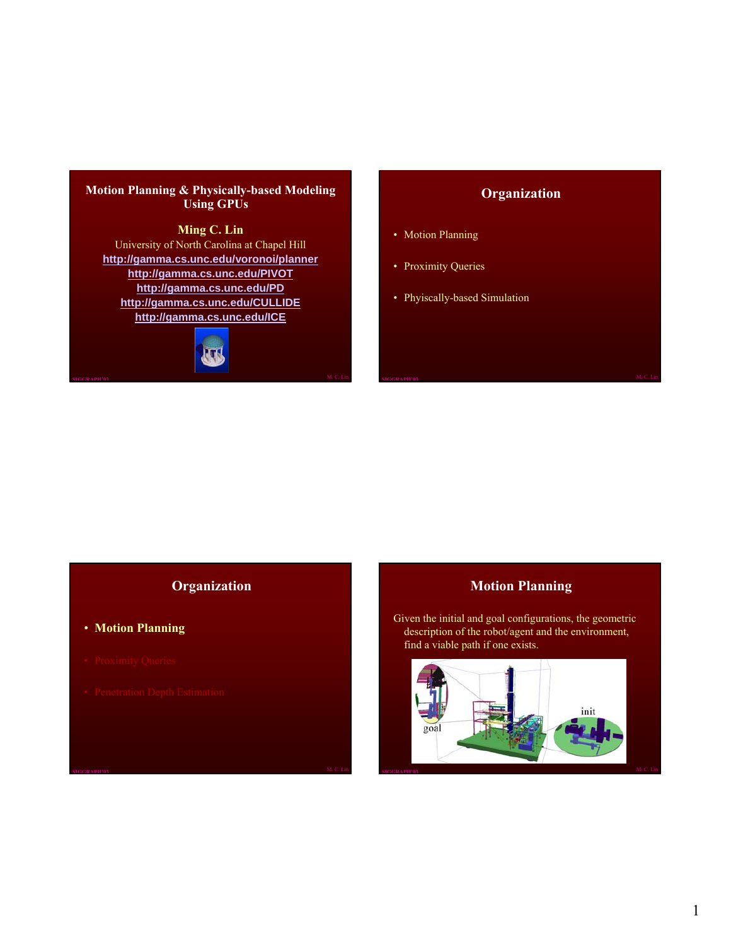#### **Motion Planning & Physically-based Modeling Using GPUs**

#### **Ming C. Lin**

University of North Carolina at Chapel Hill **http://gamma.cs.unc.edu/voronoi/planner http://gamma.cs.unc.edu/PIVOT http://gamma.cs.unc.edu/PD http://gamma.cs.unc.edu/CULLIDE http://gamma.cs.unc.edu/ICE**



## **Organization**

- Motion Planning
- Proximity Queries
- Phyiscally-based Simulation

#### **Organization**

- **Motion Planning**
- 
- 

## **Motion Planning**

Given the initial and goal configurations, the geometric description of the robot/agent and the environment, find a viable path if one exists.

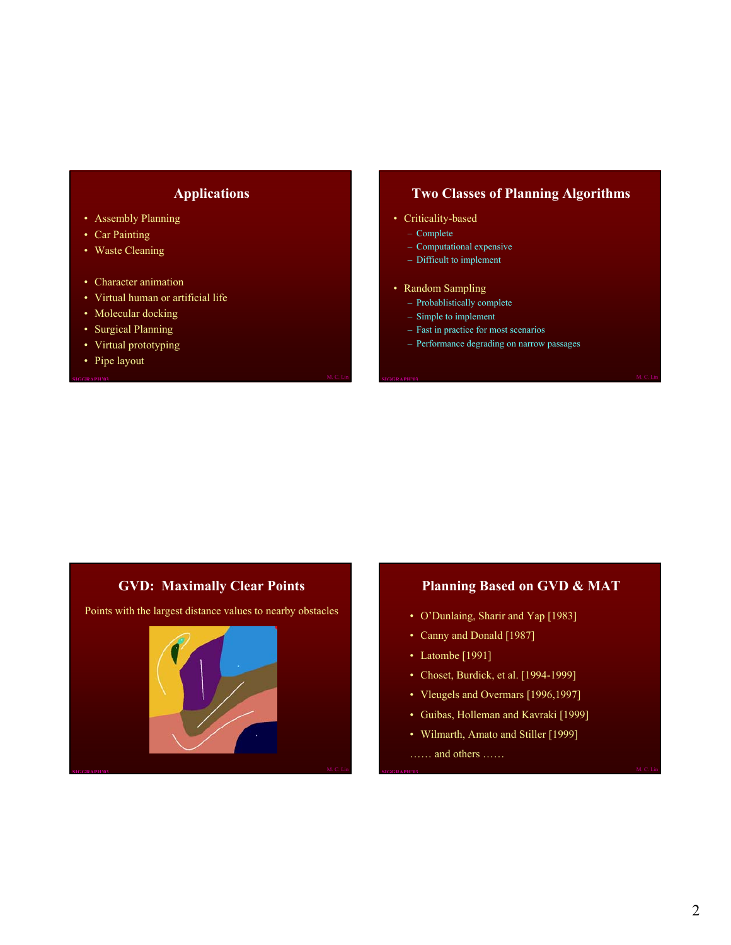#### **Applications**

- Assembly Planning
- Car Painting
- Waste Cleaning
- Character animation
- Virtual human or artificial life
- Molecular docking
- Surgical Planning
- Virtual prototyping
- Pipe layout

# **Two Classes of Planning Algorithms**

- Criticality-based
	- Complete
	- Computational expensive
	- Difficult to implement
- Random Sampling
	- Probablistically complete
	- Simple to implement
	- Fast in practice for most scenarios
	- Performance degrading on narrow passages

# **GVD: Maximally Clear Points**

Points with the largest distance values to nearby obstacles



#### **Planning Based on GVD & MAT**

- O'Dunlaing, Sharir and Yap [1983]
- Canny and Donald [1987]
- Latombe [1991]
- Choset, Burdick, et al. [1994-1999]
- Vleugels and Overmars [1996,1997]
- Guibas, Holleman and Kavraki [1999]
- Wilmarth, Amato and Stiller [1999]

…… and others ……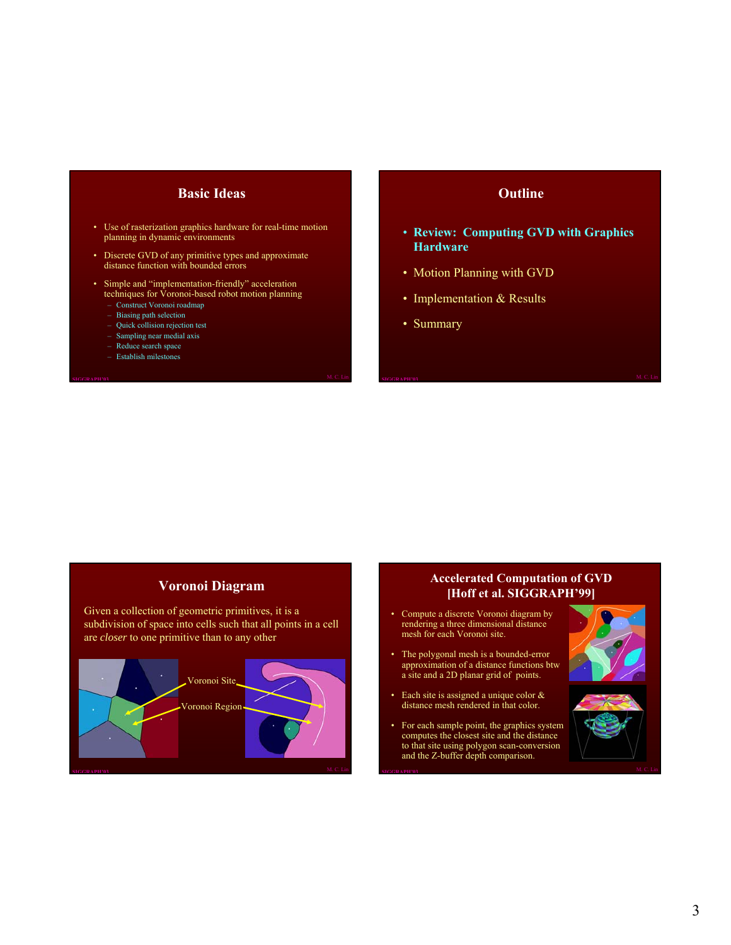#### **Basic Ideas**

- Use of rasterization graphics hardware for real-time motion planning in dynamic environments
- Discrete GVD of any primitive types and approximate distance function with bounded errors
- Simple and "implementation-friendly" acceleration techniques for Voronoi-based robot motion planning
	- Construct Voronoi roadmap
	- Biasing path selection
	- Quick collision rejection test
	- Sampling near medial axis – Reduce search space
	- Establish milestones

#### **Outline**

- **Review: Computing GVD with Graphics Hardware**
- Motion Planning with GVD
- Implementation & Results
- Summary

#### **Voronoi Diagram**

Given a collection of geometric primitives, it is a subdivision of space into cells such that all points in a cell are *closer* to one primitive than to any other



#### **Accelerated Computation of GVD [Hoff et al. SIGGRAPH'99]**

- Compute a discrete Voronoi diagram by rendering a three dimensional distance mesh for each Voronoi site.
- The polygonal mesh is a bounded-error approximation of a distance functions btw a site and a 2D planar grid of points.
- Each site is assigned a unique color & distance mesh rendered in that color.
- For each sample point, the graphics system computes the closest site and the distance to that site using polygon scan-conversion and the Z-buffer depth comparison.



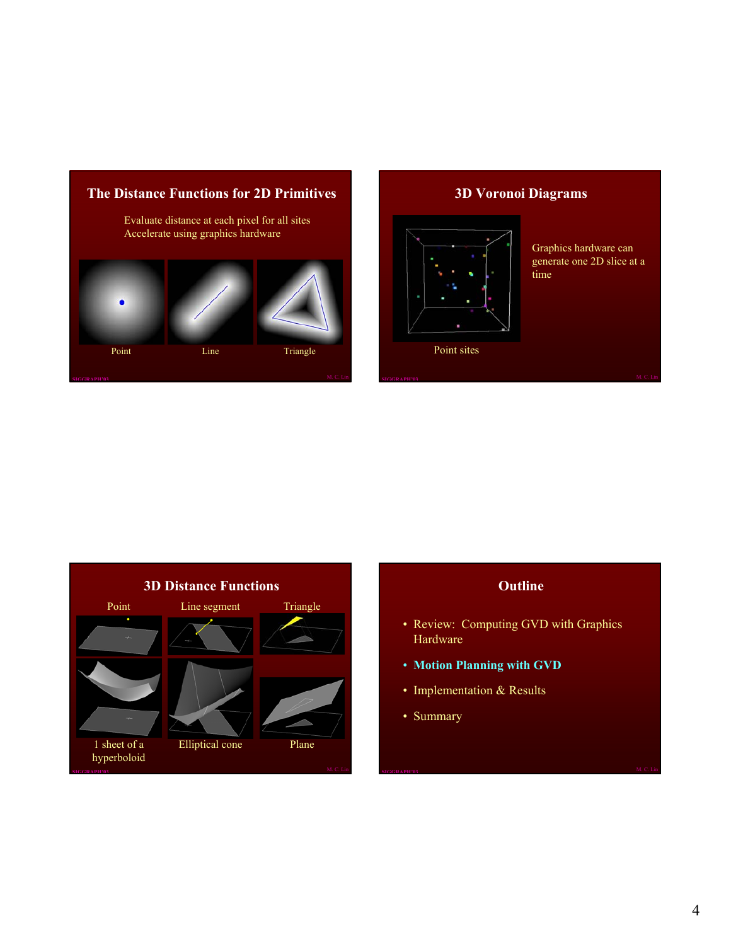

# **3D Voronoi Diagrams**



Graphics hardware can generate one 2D slice at a time



## **Outline**

- Review: Computing GVD with Graphics Hardware
- **Motion Planning with GVD**
- Implementation & Results
- Summary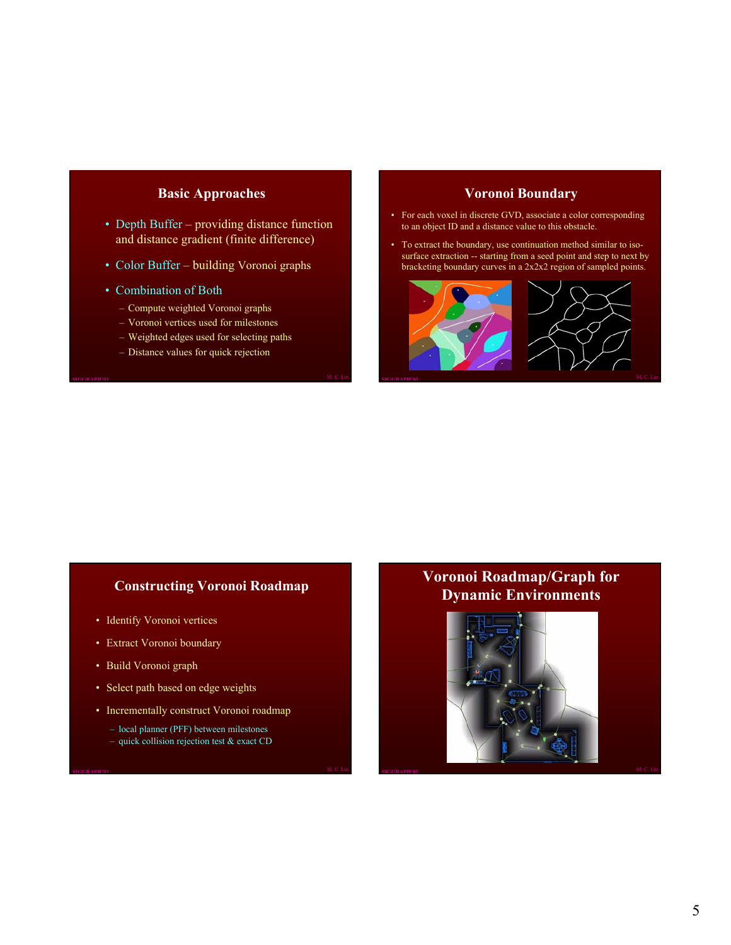#### **Basic Approaches**

- Depth Buffer providing distance function and distance gradient (finite difference)
- Color Buffer building Voronoi graphs
- Combination of Both
	- Compute weighted Voronoi graphs
	- Voronoi vertices used for milestones
	- Weighted edges used for selecting paths
	- Distance values for quick rejection

#### **Voronoi Boundary**

- For each voxel in discrete GVD, associate a color corresponding to an object ID and a distance value to this obstacle.
- To extract the boundary, use continuation method similar to isosurface extraction -- starting from a seed point and step to next by bracketing boundary curves in a 2x2x2 region of sampled points.



#### **Constructing Voronoi Roadmap**

- Identify Voronoi vertices
- Extract Voronoi boundary
- Build Voronoi graph
- Select path based on edge weights
- Incrementally construct Voronoi roadmap
	- local planner (PFF) between milestones
	- quick collision rejection test & exact CD

# **Voronoi Roadmap/Graph for Dynamic Environments**

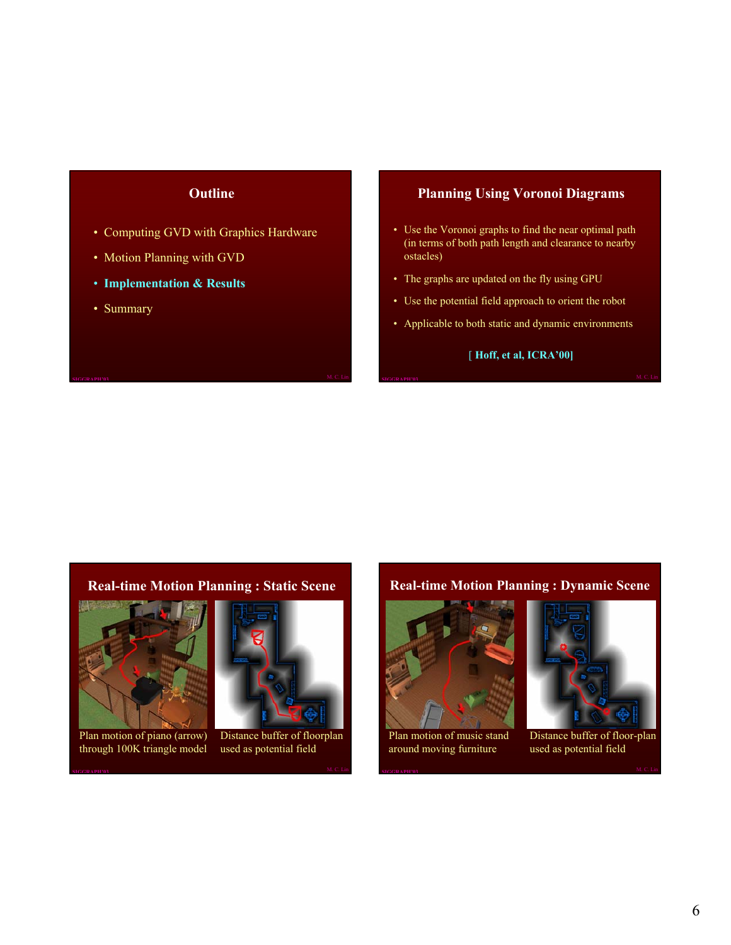#### **Outline**

- Computing GVD with Graphics Hardware
- Motion Planning with GVD
- **Implementation & Results**
- Summary

#### **Planning Using Voronoi Diagrams**

- Use the Voronoi graphs to find the near optimal path (in terms of both path length and clearance to nearby ostacles)
- The graphs are updated on the fly using GPU
- Use the potential field approach to orient the robot
- Applicable to both static and dynamic environments

#### [ **Hoff, et al, ICRA'00]**

#### **Real-time Motion Planning : Static Scene**



Plan motion of piano (arrow) through 100K triangle model



Distance buffer of floorplan used as potential field

#### **Real-time Motion Planning : Dynamic Scene**



around moving furniture



Distance buffer of floor-plan used as potential field

6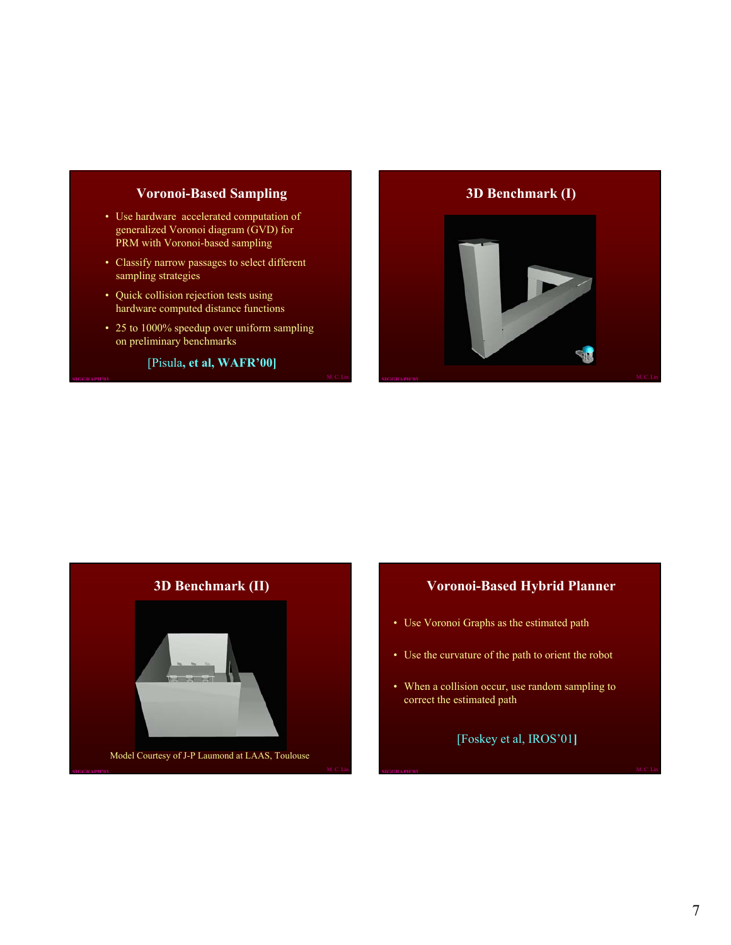#### **Voronoi-Based Sampling**

- Use hardware accelerated computation of generalized Voronoi diagram (GVD) for PRM with Voronoi-based sampling
- Classify narrow passages to select different sampling strategies
- Quick collision rejection tests using hardware computed distance functions
- 25 to 1000% speedup over uniform sampling on preliminary benchmarks

[Pisula**, et al, WAFR'00]**

#### **3D Benchmark (I)**





#### **Voronoi-Based Hybrid Planner**

- Use Voronoi Graphs as the estimated path
- Use the curvature of the path to orient the robot
- When a collision occur, use random sampling to correct the estimated path

[Foskey et al, IROS'01**]**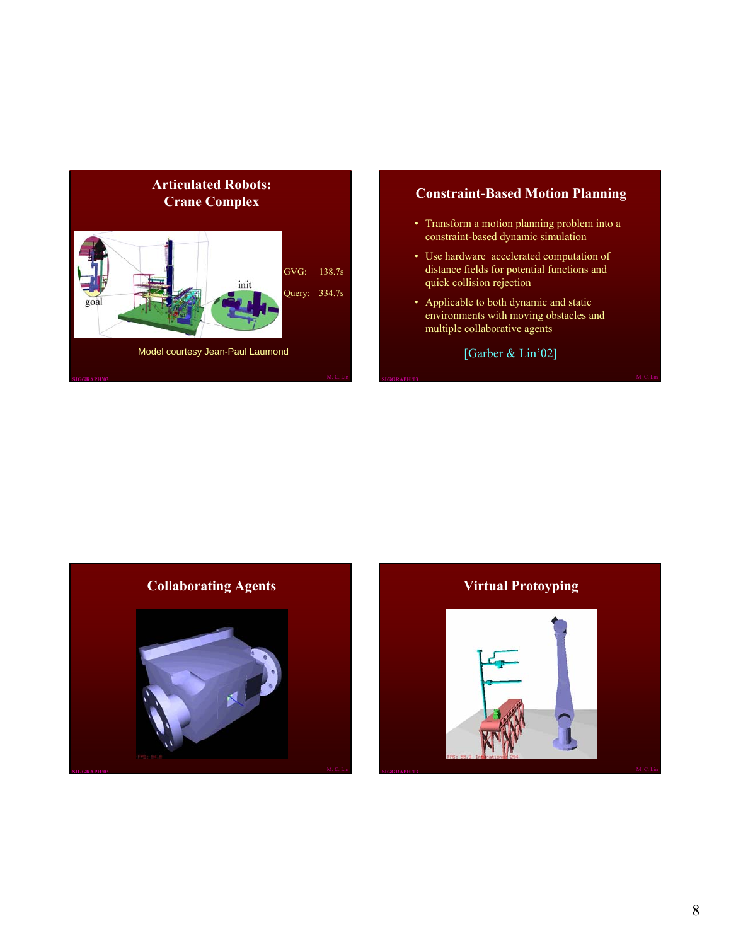

#### **Constraint-Based Motion Planning**

- Transform a motion planning problem into a constraint-based dynamic simulation
- Use hardware accelerated computation of distance fields for potential functions and quick collision rejection
- Applicable to both dynamic and static environments with moving obstacles and multiple collaborative agents

[Garber & Lin'02**]**



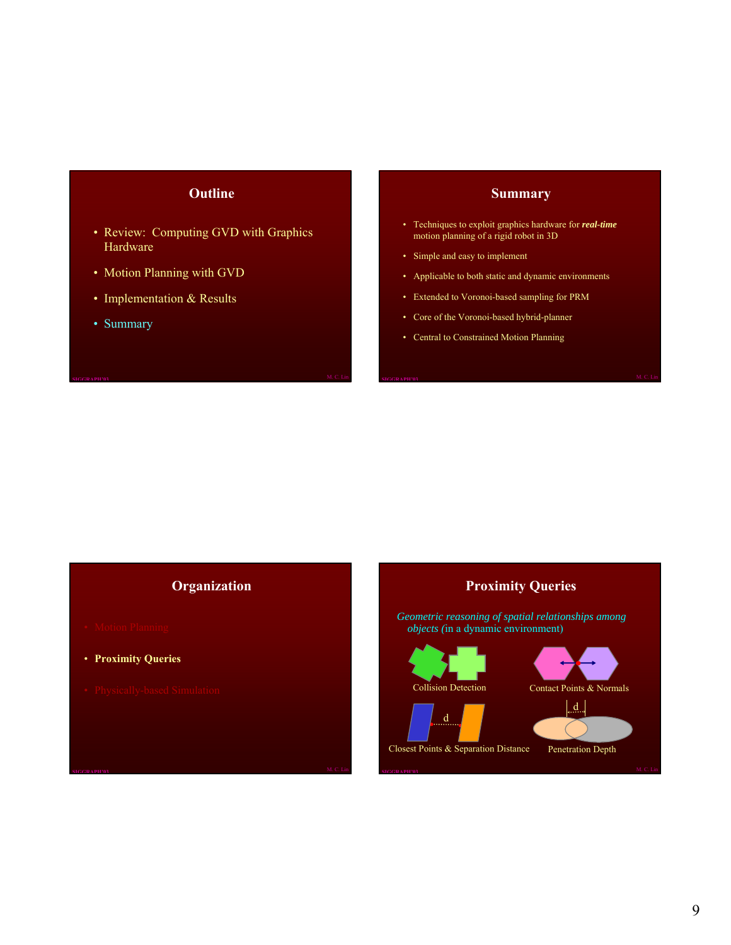#### **Outline**

- Review: Computing GVD with Graphics Hardware
- Motion Planning with GVD
- Implementation & Results
- Summary

#### **Summary**

- Techniques to exploit graphics hardware for *real-time* motion planning of a rigid robot in 3D
- Simple and easy to implement
- Applicable to both static and dynamic environments
- Extended to Voronoi-based sampling for PRM
- Core of the Voronoi-based hybrid-planner
- Central to Constrained Motion Planning

#### **Organization**

- 
- **Proximity Queries**
- 

**Proximity Queries**

*Geometric reasoning of spatial relationships among objects (*in a dynamic environment)

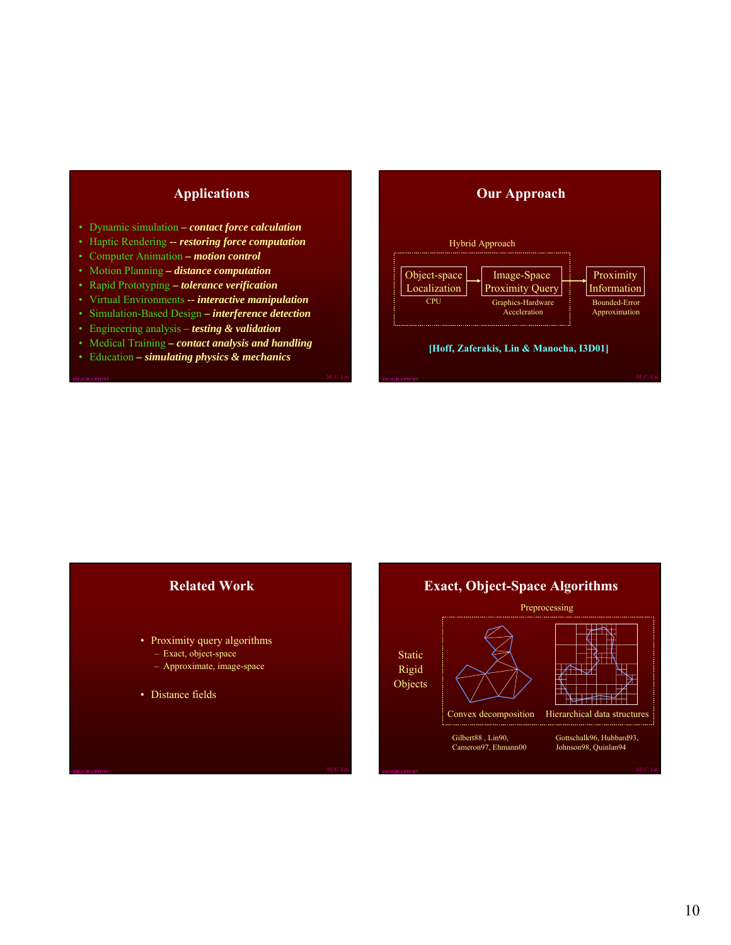# **Applications**

- Dynamic simulation **–** *contact force calculation*
- Haptic Rendering *-- restoring force computation*
- Computer Animation  *motion control*
- Motion Planning  *distance computation*
- Rapid Prototyping  *tolerance verification*
- Virtual Environments *-- interactive manipulation*
- Simulation-Based Design  *interference detection*
- Engineering analysis *testing & validation*
- Medical Training  *contact analysis and handling*
- Education  *simulating physics & mechanics*

#### **Our Approach** Object-space Localization Image-Space Proximity Query Proximity Information CPU Graphics-Hardware **Acceleration** Bounded-Error Approximation Hybrid Approach **[Hoff, Zaferakis, Lin & Manocha, I3D01]**

#### **Related Work**

- Proximity query algorithms
	- Exact, object-space
	- Approximate, image-space
- Distance fields

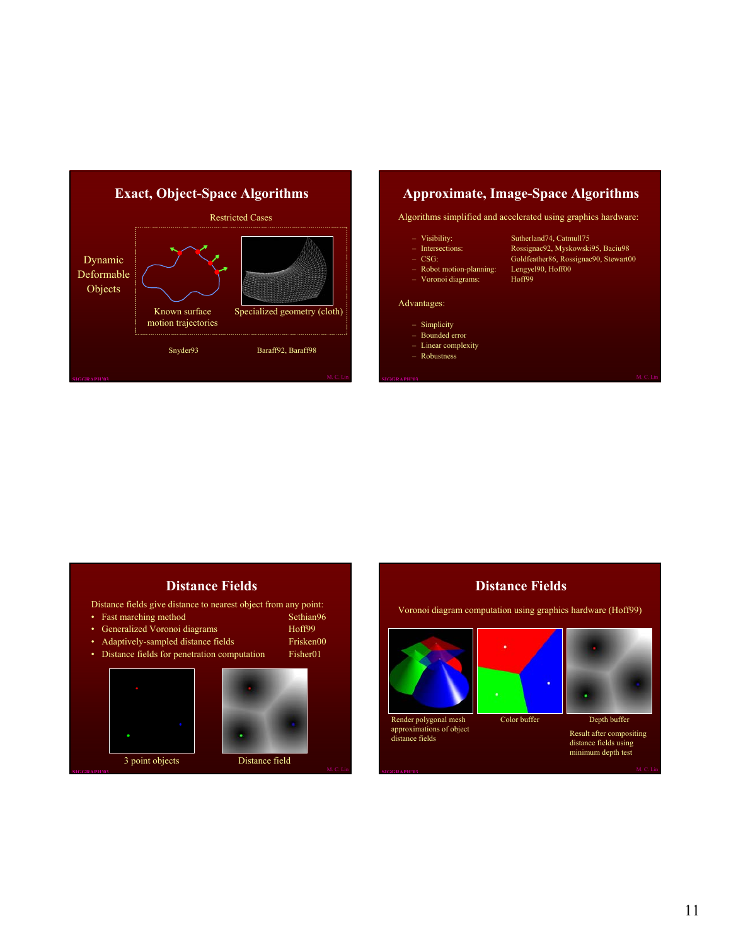

#### **Approximate, Image-Space Algorithms**

Algorithms simplified and accelerated using graphics hardware:

- Visibility: Sutherland74, Catmull75
- Intersections: Rossignac92, Myskowski95, Baciu98
- CSG: Goldfeather86, Rossignac90, Stewart00
- Robot motion-planning: Lengyel90, Hoff00
- Voronoi diagrams: Hoff99

#### Advantages:

- Simplicity
- Bounded error
- Linear complexity
- Robustness

# **Distance Fields**

Distance fields give distance to nearest object from any point:

- Fast marching method Sethian96<br>• Generalized Voronoi diagrams Floff99
- Generalized Voronoi diagrams
	-
- Adaptively-sampled distance fields Frisken00<br>Distance fields for penetration computation Fisher01 • Distance fields for penetration computation





# **Distance Fields**

Voronoi diagram computation using graphics hardware (Hoff99)







Color buffer Depth buffer

Result after compositing distance fields using minimum depth test

11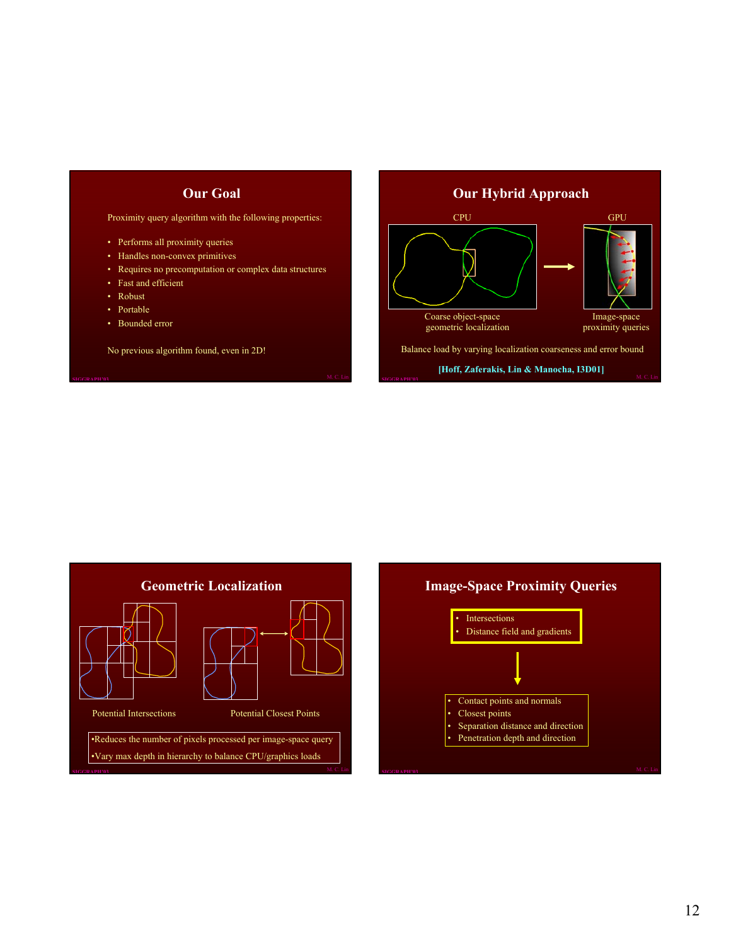# **Our Goal**

Proximity query algorithm with the following properties:

- Performs all proximity queries
- Handles non-convex primitives
- Requires no precomputation or complex data structures
- Fast and efficient
- Robust
- Portable
- Bounded error

No previous algorithm found, even in 2D!

# **Our Hybrid Approach** Image-space proximity queries Coarse object-space geometric localization CPU GPU Balance load by varying localization coarseness and error bound **[Hoff, Zaferakis, Lin & Manocha, I3D01]**



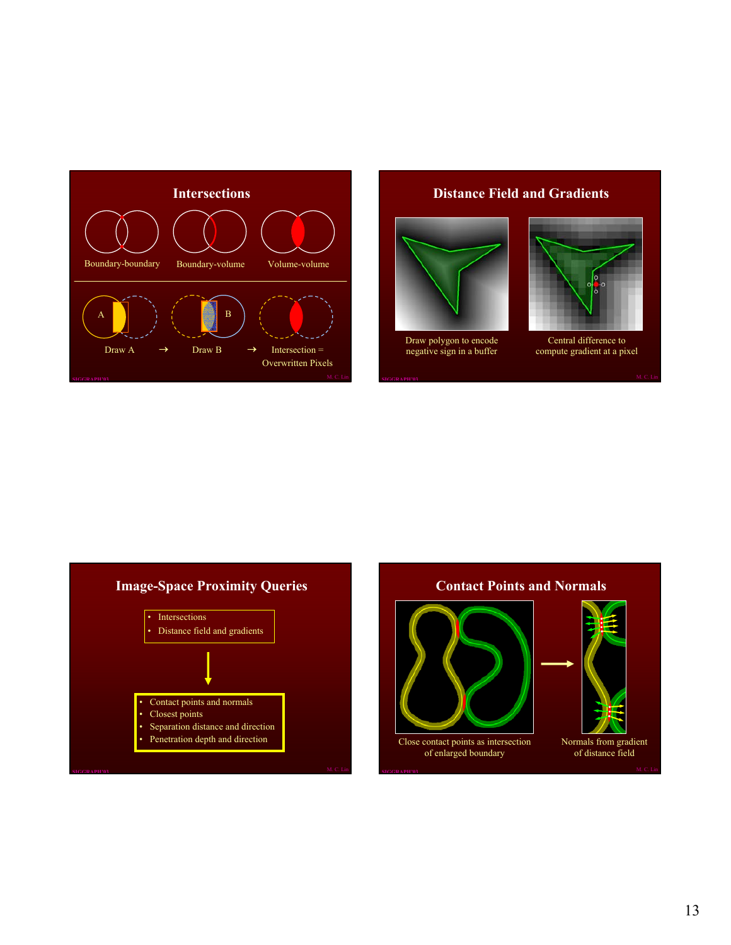

#### **Distance Field and Gradients**



Draw polygon to encode negative sign in a buffer



Central difference to compute gradient at a pixel



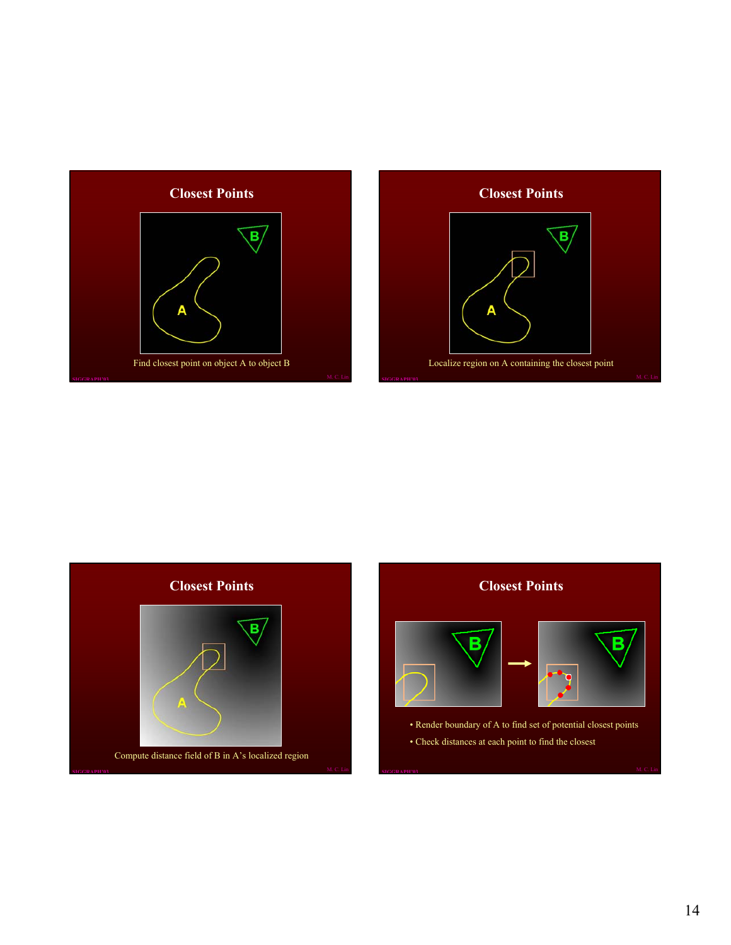





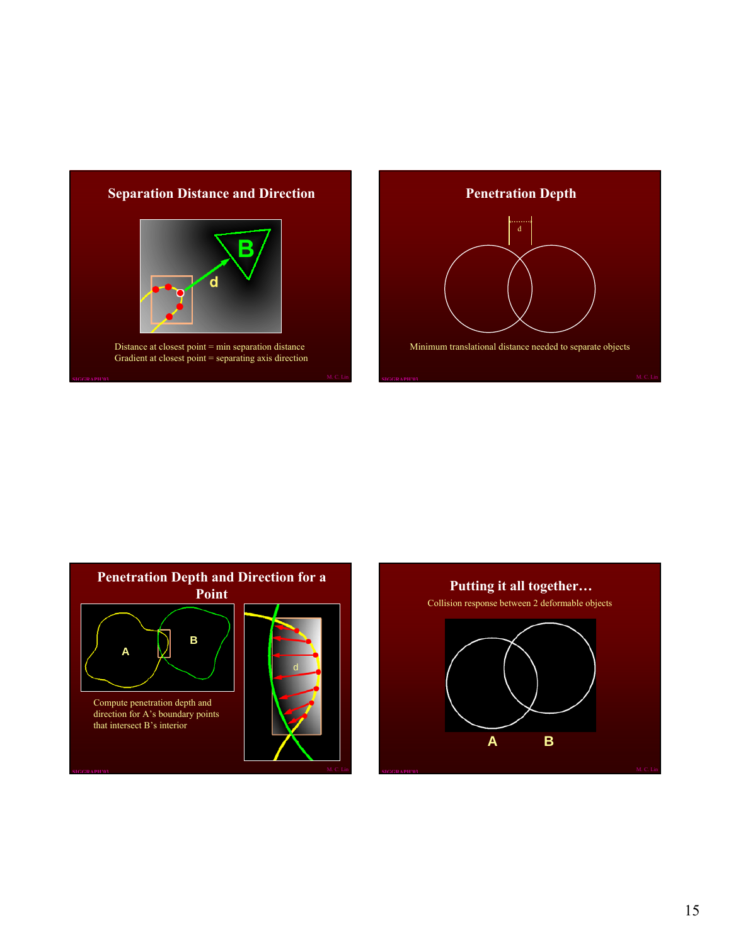# **Separation Distance and Direction**



Distance at closest point = min separation distance Gradient at closest point = separating axis direction





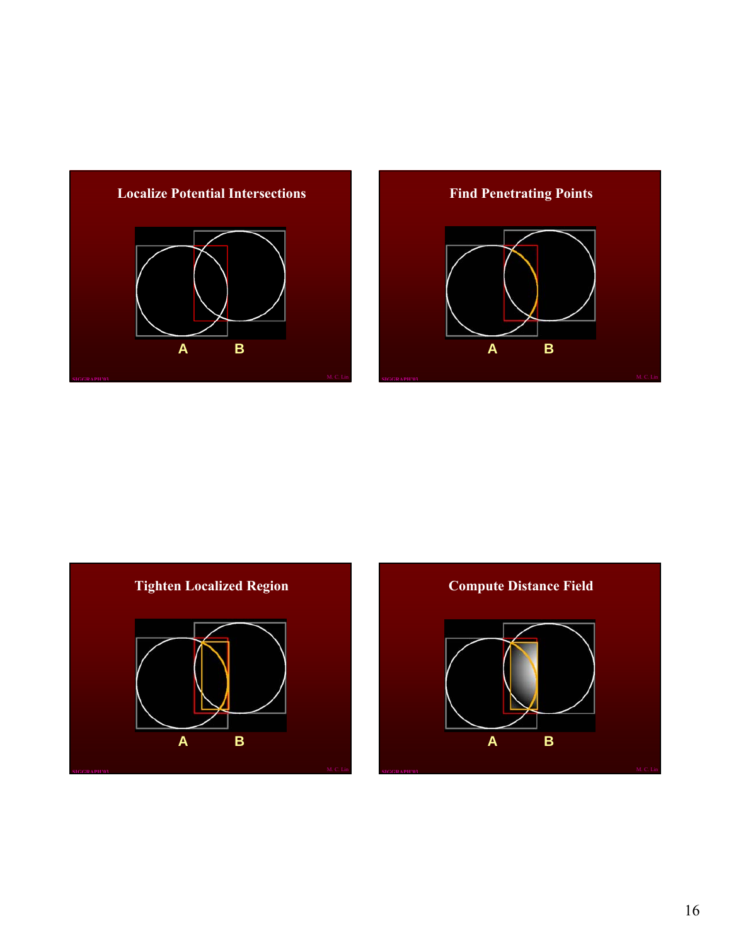





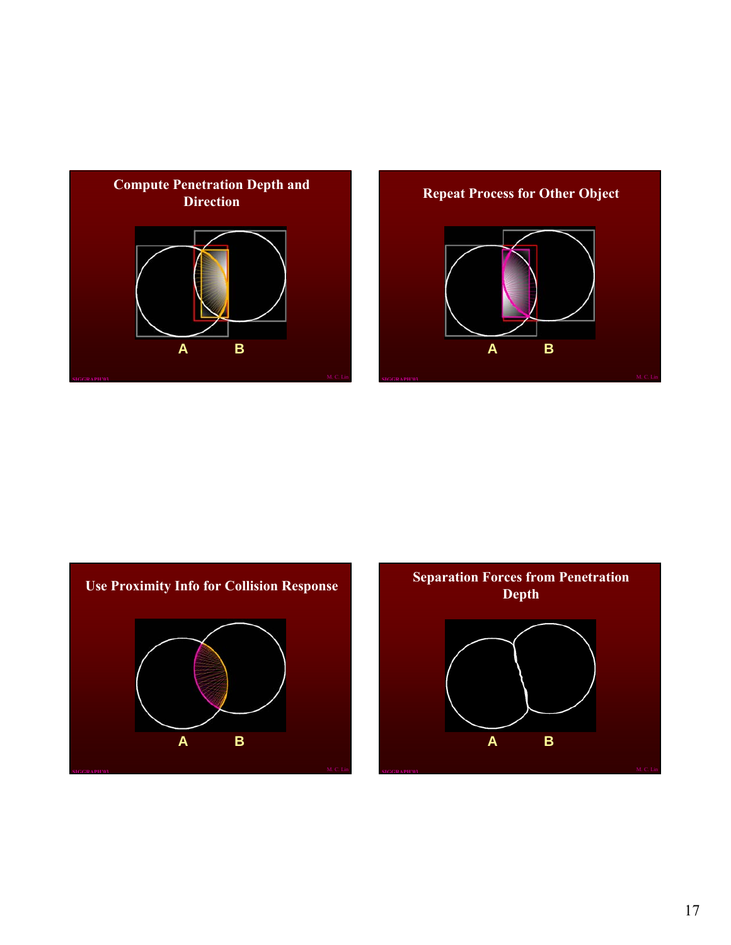





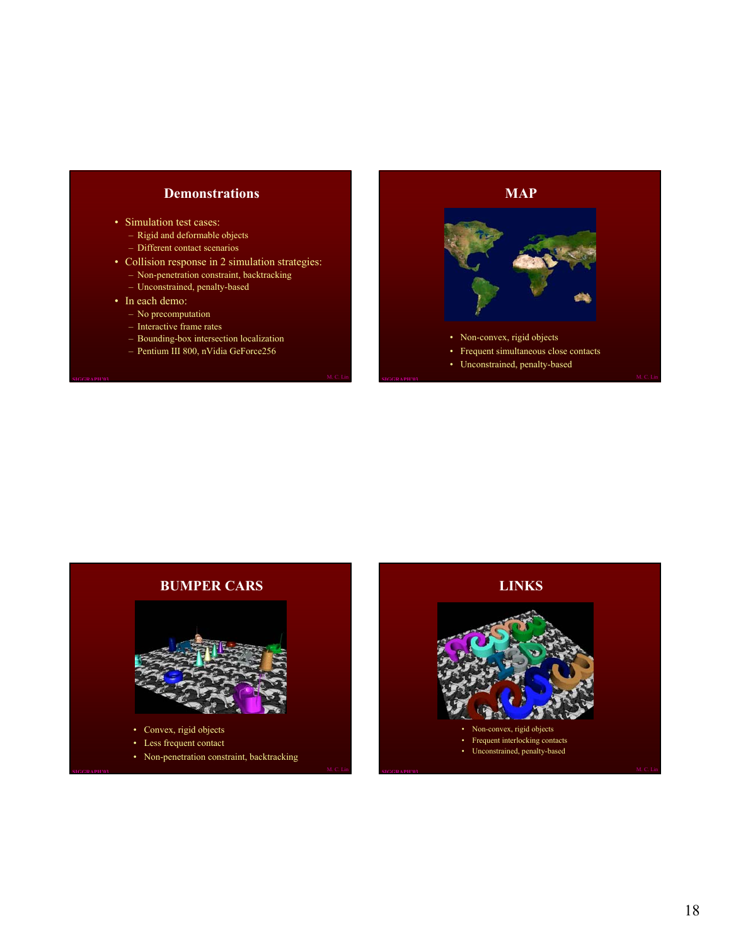#### **Demonstrations**

- Simulation test cases:
	- Rigid and deformable objects
	- Different contact scenarios
- Collision response in 2 simulation strategies:
	- Non-penetration constraint, backtracking
	- Unconstrained, penalty-based
- In each demo:
	- No precomputation
	- Interactive frame rates
	- Bounding-box intersection localization
	- Pentium III 800, nVidia GeForce256





- Less frequent contact
- Non-penetration constraint, backtracking

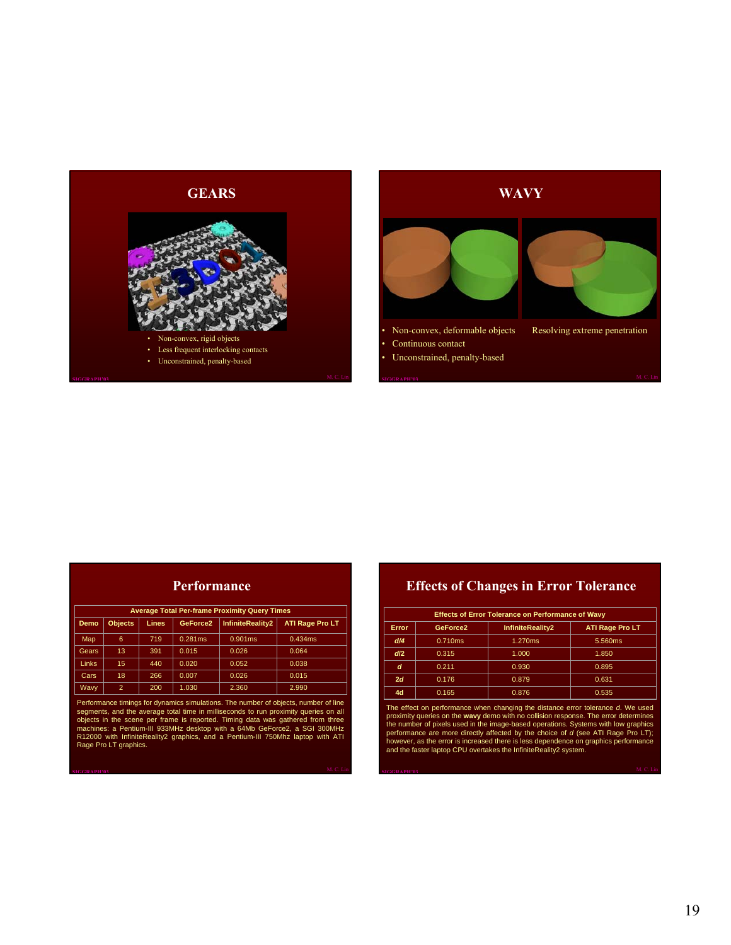



| Performance |
|-------------|
|-------------|

|              |                |              |          | <b>Average Total Per-frame Proximity Query Times</b> |                        |
|--------------|----------------|--------------|----------|------------------------------------------------------|------------------------|
| Demo         | <b>Objects</b> | <b>Lines</b> | GeForce2 | <b>InfiniteReality2</b>                              | <b>ATI Rage Pro LT</b> |
| Map          | 6              | 719          | 0.281ms  | 0.901ms                                              | 0.434ms                |
| Gears        | 13.            | 391          | 0.015    | 0.026                                                | 0.064                  |
| <b>Links</b> | 15             | 440          | 0.020    | 0.052                                                | 0.038                  |
| Cars         | 18             | 266          | 0.007    | 0.026                                                | 0.015                  |
| <b>Wavy</b>  | $\overline{2}$ | 200          | 1.030    | 2.360                                                | 2.990                  |

Performance timings for dynamics simulations. The number of objects, number of line segments, and the average total time in milliseconds to run proximity queries on all objects in the scene per frame is reported. Timing da

# **Effects of Changes in Error Tolerance**

|              |                      | <b>Effects of Error Tolerance on Performance of Wavy</b> |                        |  |  |  |  |
|--------------|----------------------|----------------------------------------------------------|------------------------|--|--|--|--|
| <b>Error</b> | GeForce <sub>2</sub> | InfiniteReality2                                         | <b>ATI Rage Pro LT</b> |  |  |  |  |
| d/4          | 0.710ms              | 1.270ms                                                  | 5.560ms                |  |  |  |  |
| dl2          | 0.315                | 1.000                                                    | 1.850                  |  |  |  |  |
| d            | 0.211                | 0.930                                                    | 0.895                  |  |  |  |  |
| 2d           | 0.176                | 0.879                                                    | 0.631                  |  |  |  |  |
| 4d           | 0.165                | 0.876                                                    | 0.535                  |  |  |  |  |

The effect on performance when changing the distance error tolerance d. We used<br>proximity queries on the wavy deno with no collision response. The error determines<br>the number of pixels used in the image-based operations. S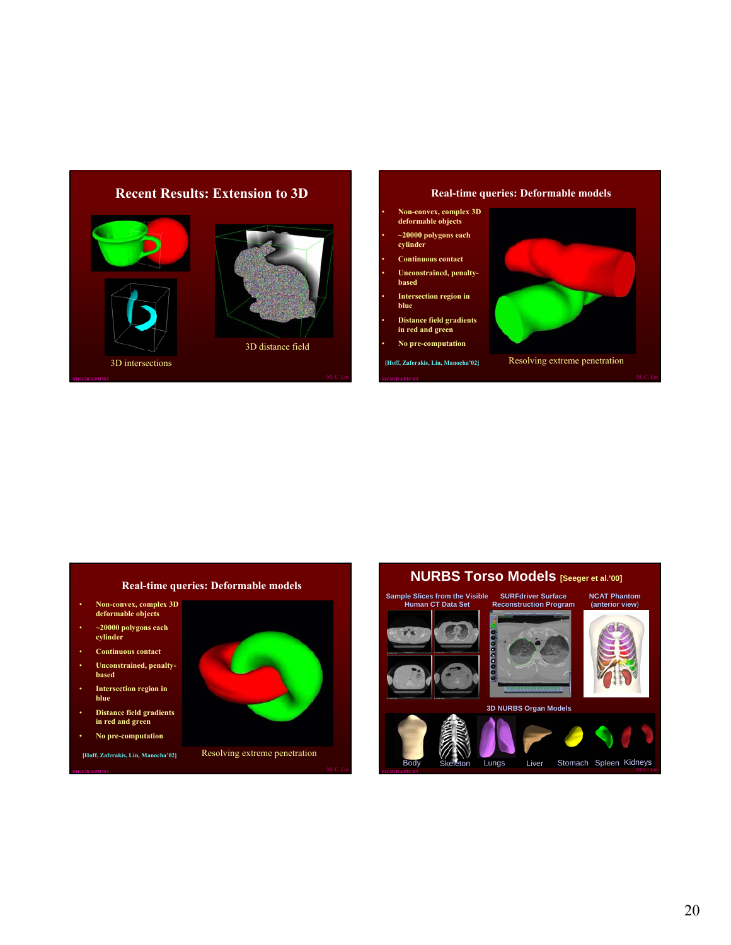# **Recent Results: Extension to 3D** 3D distance field

**Real-time queries: Deformable models**

- **Non-convex, complex 3D deformable objects**
- **~20000 polygons each cylinder**
- **Continuous contact**
- **Unconstrained, penaltybased**
- **Intersection region in**
- **blue** • **Distance field gradients in red and green**
- **No pre-computation**
	-



#### **Real-time queries: Deformable models**

• **Non-convex, complex 3D deformable objects**

3D intersections

- **~20000 polygons each cylinder**
- **Continuous contact**
- **Unconstrained, penalty-based**
- **Intersection region in blue**
- **Distance field gradients in red and green**
- **No pre-computation**
- **[Hoff, Zaferakis, Lin, Manocha'02]**



Resolving extreme penetration

# **NURBS Torso Models [Seeger et al.'00]**

**Sample Slices from the Visible Human CT Data Set SURFdriver Surface** 











**NCAT Phantom (anterior view**)

ton Lungs Liver Stomach Spleen Kidneys

20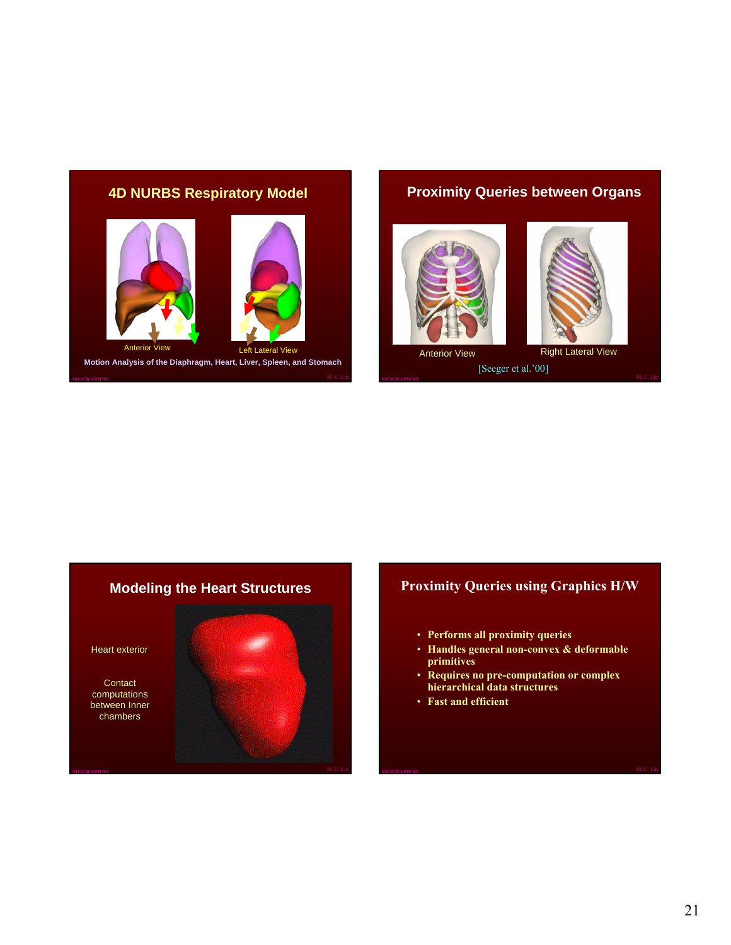# **4D NURBS Respiratory Model**



# **Proximity Queries between Organs**



Anterior View Right Lateral View [Seeger et al.'00]



# **Modeling the Heart Structures**

Heart exterior

Contact computations between Inner chambers



# **Proximity Queries using Graphics H/W**

- **Performs all proximity queries**
- **Handles general non-convex & deformable primitives**
- **Requires no pre-computation or complex hierarchical data structures**
- **Fast and efficient**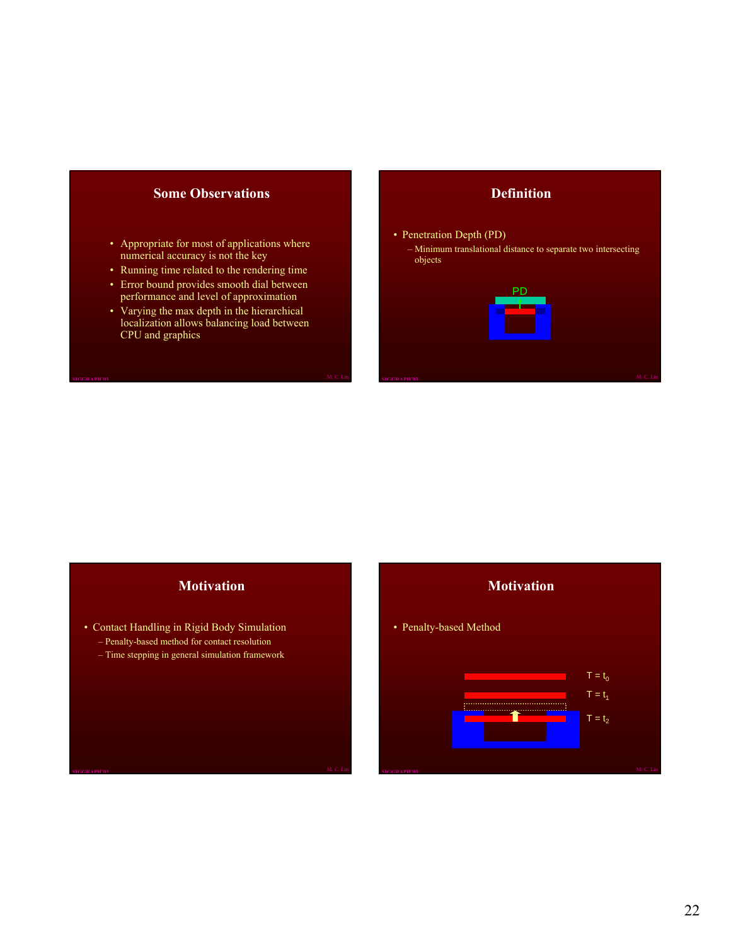#### **Some Observations**

- Appropriate for most of applications where numerical accuracy is not the key
- Running time related to the rendering time
- Error bound provides smooth dial between performance and level of approximation
- Varying the max depth in the hierarchical localization allows balancing load between CPU and graphics

#### **Definition**

#### • Penetration Depth (PD)

– Minimum translational distance to separate two intersecting objects



#### **Motivation**

- Contact Handling in Rigid Body Simulation – Penalty-based method for contact resolution
	- Time stepping in general simulation framework

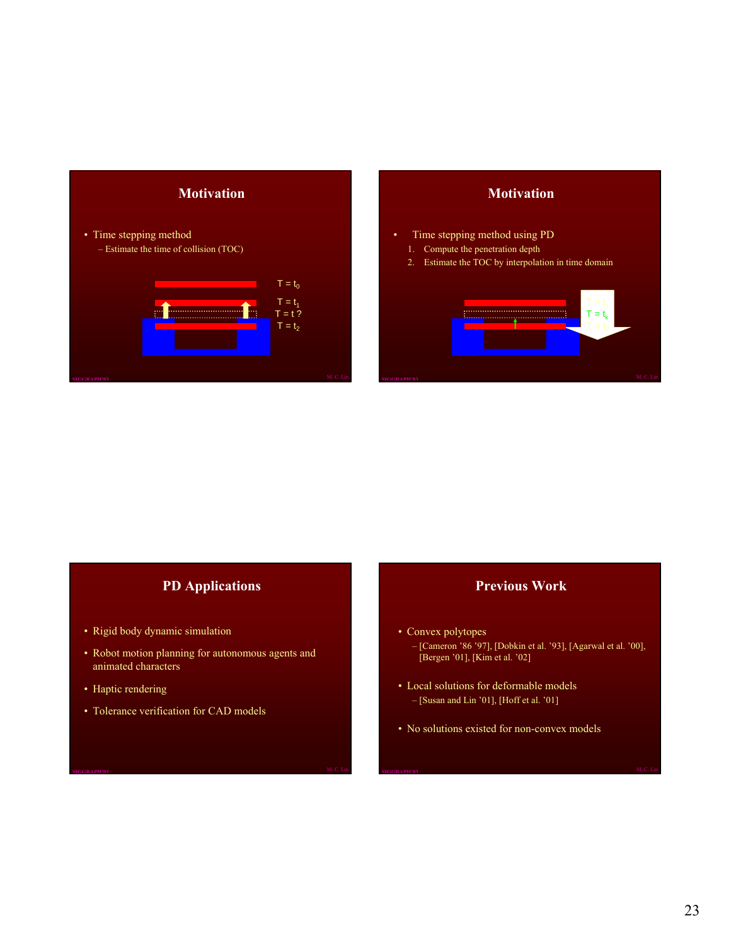

#### **Motivation**

- Time stepping method using PD
	- 1. Compute the penetration depth
	- 2. Estimate the TOC by interpolation in time domain



## **PD Applications**

- Rigid body dynamic simulation
- Robot motion planning for autonomous agents and animated characters
- Haptic rendering
- Tolerance verification for CAD models

#### **Previous Work**

- Convex polytopes
	- [Cameron '86 '97], [Dobkin et al. '93], [Agarwal et al. '00],  $[Bergen '01], [Kim et al. '02]$
- Local solutions for deformable models – [Susan and Lin '01], [Hoff et al. '01]
- No solutions existed for non-convex models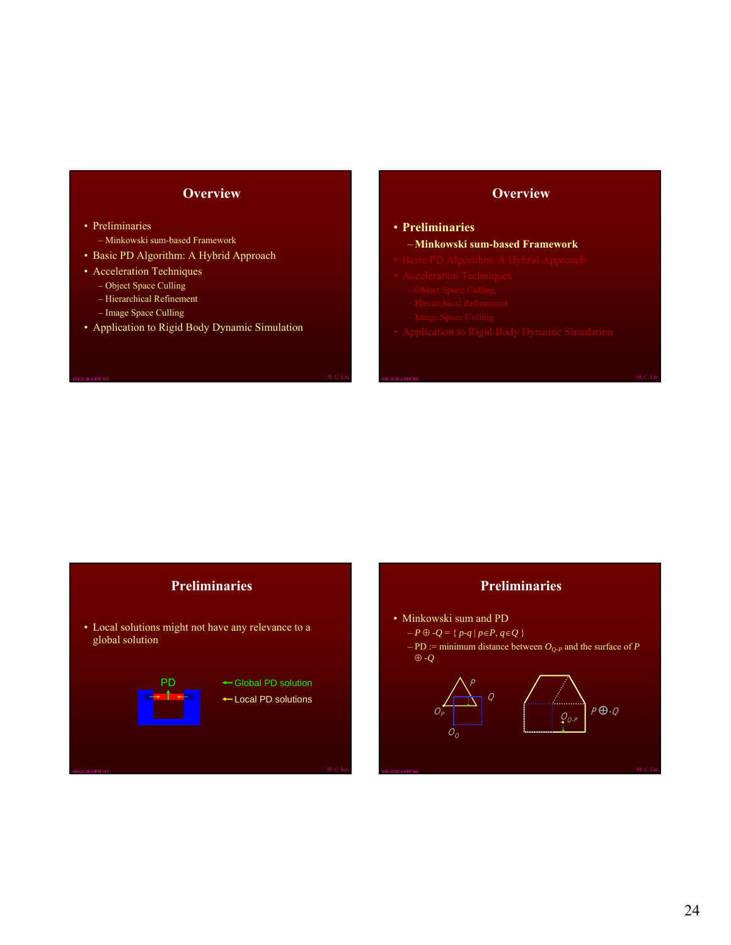# **Overview**

• Preliminaries

- Minkowski sum-based Framework
- Basic PD Algorithm: A Hybrid Approach
- Acceleration Techniques
	- Object Space Culling
	- Hierarchical Refinement
	- Image Space Culling
- Application to Rigid Body Dynamic Simulation

#### **Overview**

#### • **Preliminaries**

#### –**Minkowski sum-based Framework**

- 
- 
- 
- 
- 
- 

# **Preliminaries**

• Local solutions might not have any relevance to a global solution



#### **Preliminaries**

- Minkowski sum and PD
	- *P* ⊕ -*Q* = { *p-q* | *p*∈*P*, *q*∈*Q* }
	- $PD :=$  minimum distance between  $O_{O-P}$  and the surface of *P* ⊕ *-Q*

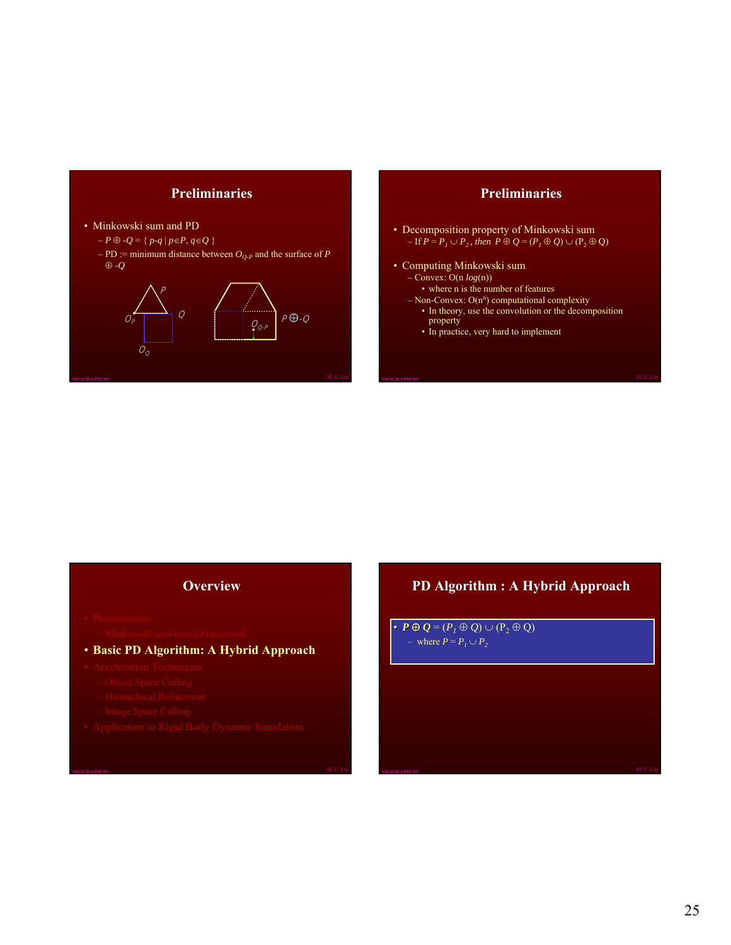



#### **Preliminaries**

- Decomposition property of Minkowski sum  $-I$  **f**  $P = P_1 \cup P_2$ , then  $P \oplus Q = (P_1 \oplus Q) \cup (P_2 \oplus Q)$
- Computing Minkowski sum
	- Convex: O(n *log*(n))
		- where n is the number of features
	- $-$  Non-Convex:  $O(n^6)$  computational complexity
	- In theory, use the convolution or the decomposition property
	- In practice, very hard to implement

#### **Overview**

- -
- **Basic PD Algorithm: A Hybrid Approach**
- -
	-
	-
- 

# **PD Algorithm : A Hybrid Approach**

•  $P \oplus Q = (P_1 \oplus Q) \cup (P_2 \oplus Q)$ – where  $P = P_1 \cup P_2$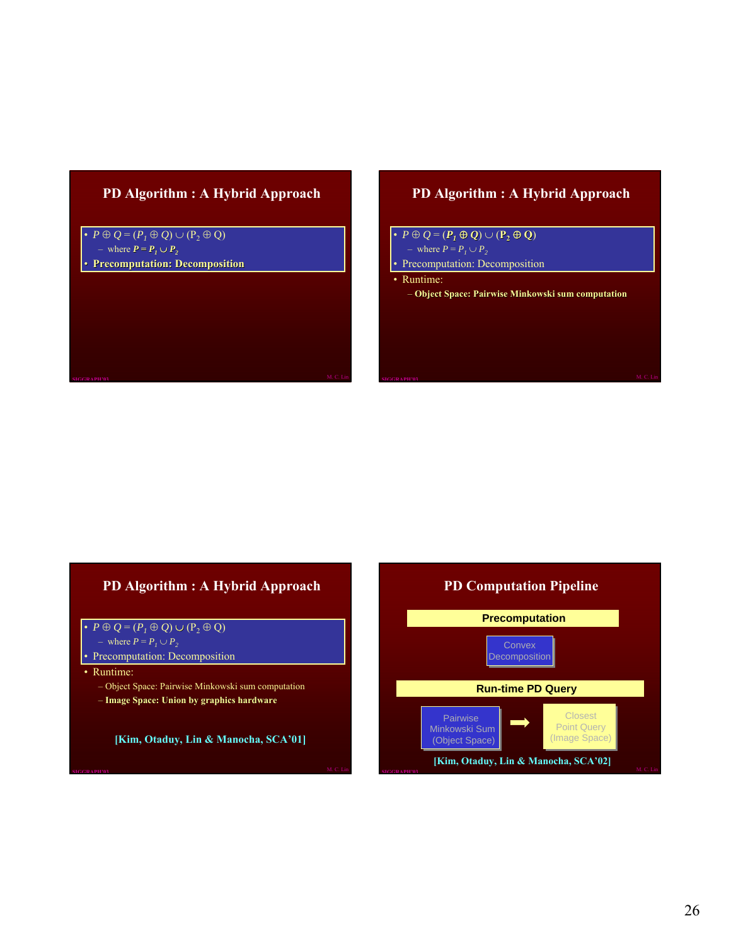#### **PD Algorithm : A Hybrid Approach**

•  $P \oplus Q = (P_1 \oplus Q) \cup (P_2 \oplus Q)$ – where  $P = P_1 ∪ P_2$ • **Precomputation: Decomposition**

# **PD Algorithm : A Hybrid Approach**

• *P* ⊕ *Q* = (*P1* ⊕ *Q*) ∪ (**P2** ⊕ **Q**) – where  $P = P_1 \cup P_2$ Precomputation: Decomposition • Runtime:

– **Object Space: Pairwise Mi Object Space: Pairwise Minkowski sum computation**

# **PD Algorithm : A Hybrid Approach**

- $P \oplus Q = (P_1 \oplus Q) \cup (P_2 \oplus Q)$
- where  $P = P_1 \cup P_2$
- Precomputation: Decomposition
- Runtime:
	- Object Space: Pairwise Minkowski sum computation
	- **Image Space: Union by graphics hardware**

**[Kim, Otaduy, Lin & Manocha, SCA'01]**



#### **[Kim, Otaduy, Lin & Manocha, SCA'02]**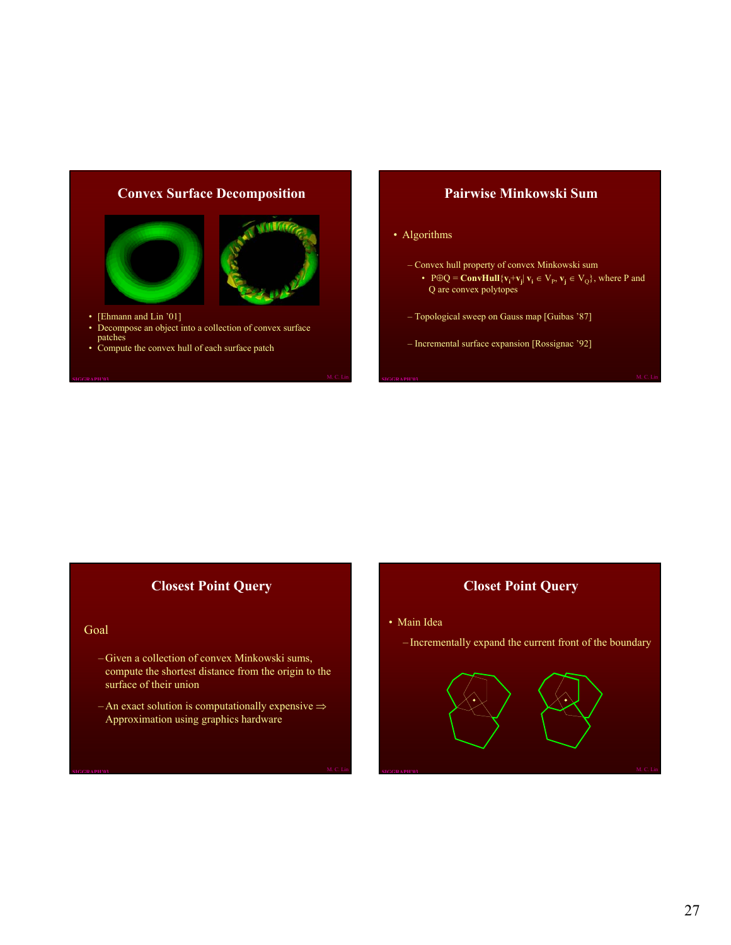#### **Convex Surface Decomposition**



- [Ehmann and Lin '01]
- Decompose an object into a collection of convex surface patches
- Compute the convex hull of each surface patch

#### **Pairwise Minkowski Sum**

#### • Algorithms

- Convex hull property of convex Minkowski sum
	- P⊕Q = **ConvHull**{ $v_i$ + $v_j$ |  $v_i \in V_p$ ,  $v_j \in V_Q$ }, where P and Q are convex polytopes
- Topological sweep on Gauss map [Guibas '87]
- Incremental surface expansion [Rossignac '92]

## **Closest Point Query**

#### Goal

- Given a collection of convex Minkowski sums, compute the shortest distance from the origin to the surface of their union
- An exact solution is computationally expensive  $\Rightarrow$ Approximation using graphics hardware

#### **Closet Point Query**

- Main Idea
	- Incrementally expand the current front of the boundary

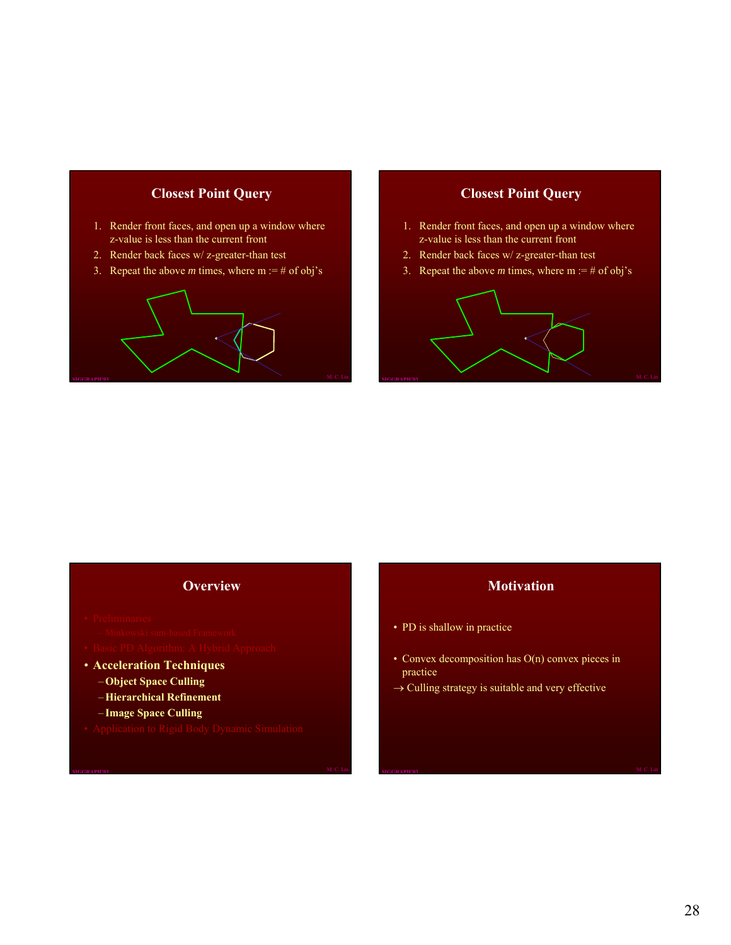# **Closest Point Query**

- 1. Render front faces, and open up a window where z-value is less than the current front
- 2. Render back faces w/ z-greater-than test
- 3. Repeat the above *m* times, where  $m := #$  of obj's



# **Closest Point Query**

- 1. Render front faces, and open up a window where z-value is less than the current front
- 2. Render back faces w/ z-greater-than test
- 3. Repeat the above *m* times, where  $m := #$  of obj's



#### **Overview**

- 
- 
- 
- **Acceleration Techniques**
	- –**Object Space Culling**
	- –**Hierarchical Refinement**
	- **Image Space Culling**
- 

## **Motivation**

- PD is shallow in practice
- Convex decomposition has O(n) convex pieces in practice
- $\rightarrow$  Culling strategy is suitable and very effective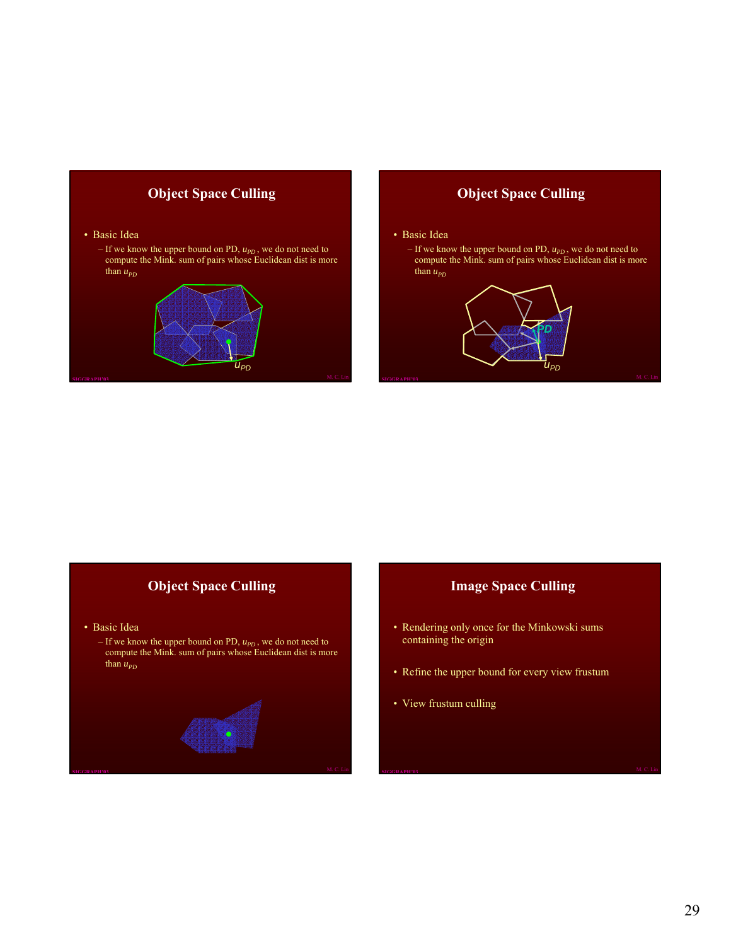# **Object Space Culling**

#### • Basic Idea

 $-$  If we know the upper bound on PD,  $u_{PD}$ , we do not need to compute the Mink. sum of pairs whose Euclidean dist is more than  $u_{PD}$ 



#### **Object Space Culling**

#### • Basic Idea

 $-$  If we know the upper bound on PD,  $u_{PD}$ , we do not need to compute the Mink. sum of pairs whose Euclidean dist is more than  $u_{PD}$ 



# **Object Space Culling**

- Basic Idea
	- If we know the upper bound on PD,  $u_{pD}$ , we do not need to compute the Mink. sum of pairs whose Euclidean dist is more than  $u_{PD}$



## **Image Space Culling**

- Rendering only once for the Minkowski sums containing the origin
- Refine the upper bound for every view frustum
- View frustum culling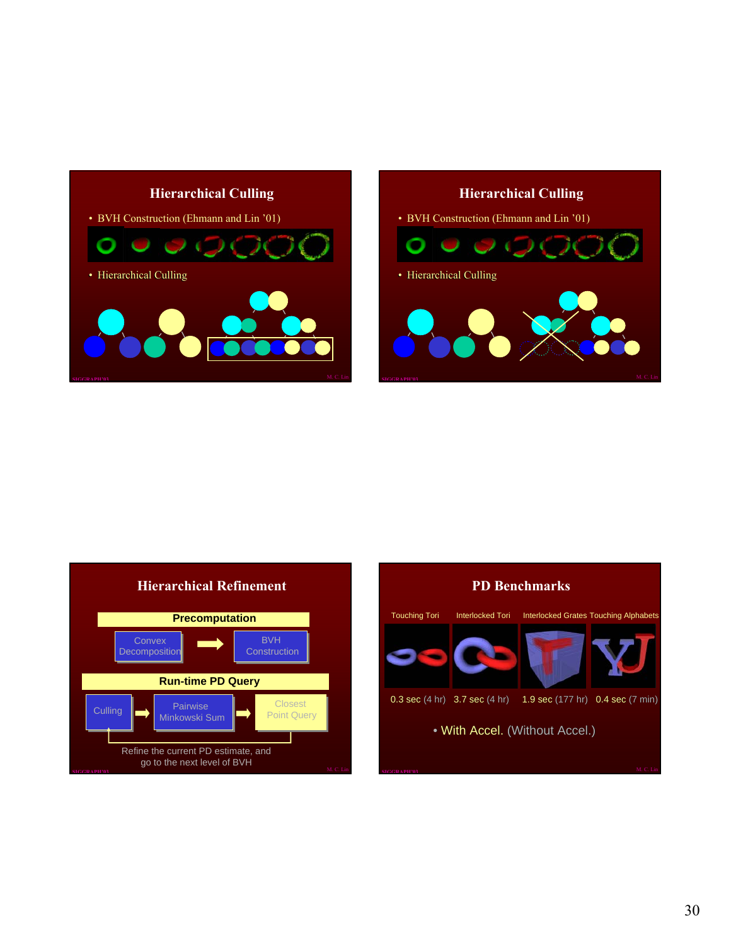







## 30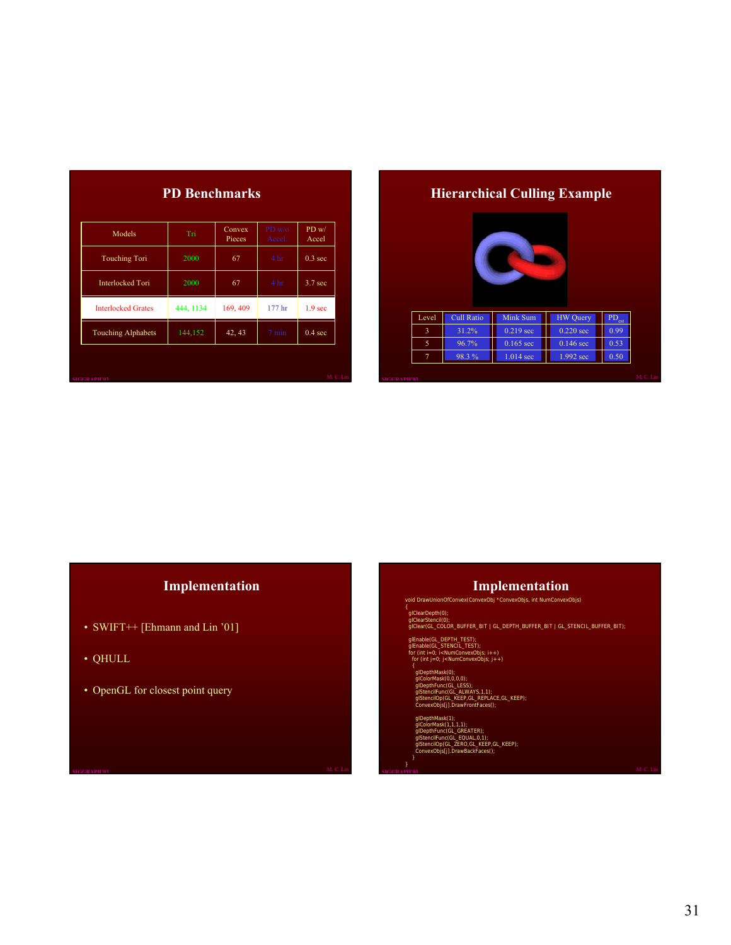| Models                    | Tri       | Convex<br>Pieces | $PD$ w/o<br>Accel. | PD w/<br>Accel     |
|---------------------------|-----------|------------------|--------------------|--------------------|
| <b>Touching Tori</b>      | 2000      | 67               | 4 <sub>hr</sub>    | 0.3 <sub>sec</sub> |
| <b>Interlocked Tori</b>   | 2000      | 67               | 4 <sub>hr</sub>    | 3.7 <sub>sec</sub> |
| <b>Interlocked Grates</b> | 444, 1134 | 169, 409         | 177 <sup>h</sup>   | 1.9 <sub>sec</sub> |
| <b>Touching Alphabets</b> | 144,152   | 42, 43           | $7 \text{ min}$    | $0.4 \text{ sec}$  |

# **Hierarchical Culling Example**



# **Implementation**

- SWIFT++ [Ehmann and Lin '01]
- QHULL
- OpenGL for closest point query

#### **Implementation**

void DrawUnionOfConvex(ConvexObj \*ConvexObjs, int NumConvexObjs)

{<br>| glClearDepth(0);<br>| glClear(GL\_COLOR\_BUFFER\_BIT | GL\_DEPTH\_BUFFER\_BIT | GL\_STENCIL\_BUFFER\_BIT);

glEnable(GL\_DEPTH\_TEST); glEnable(GL\_STENCIL\_TEST); for (int i=0; i<NumConvexObjs; i++) for (int j=0; j<NumConvexObjs; j++)

glDepthMask(0);<br>glColorMask(0,0,0,0,0);<br>glDepthFunc(GL\_LESS);<br>glStencilFunc(GL\_ALWAYS,1,1);<br>glStencilOp(GL\_KEEP,GL\_REPC,CL\_KEEP);<br>ConvexObjs[j].DrawFrontFaces();

glDepthMask(1);<br>glColorMask(1,1,1,1,1);<br>glDepthFunc(GL\_GREATER);<br>glStencilFunc(GL\_EQUAL,0,1);<br>glStencilOp(GL\_ZERO,GL\_KEEP,GL\_KEEP);<br>ConvexObjs[j].DrawBackFaces();

}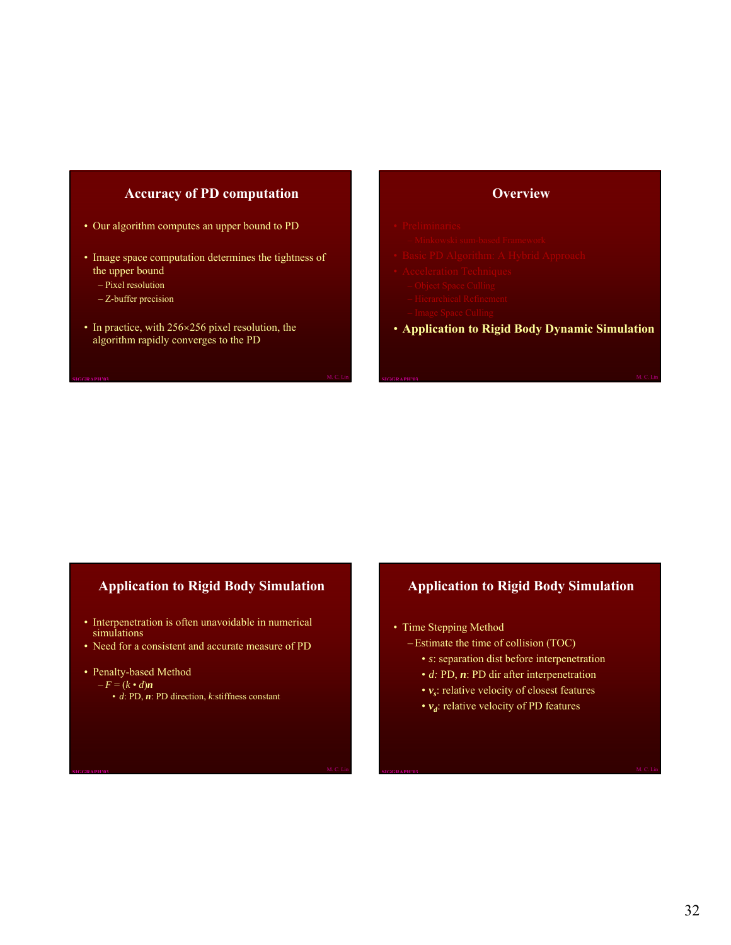#### **Accuracy of PD computation**

- Our algorithm computes an upper bound to PD
- Image space computation determines the tightness of the upper bound
	- Pixel resolution
	- Z-buffer precision
- In practice, with 256×256 pixel resolution, the algorithm rapidly converges to the PD

#### **Overview**

- 
- 
- 
- -
	-
	-
- **Application to Rigid Body Dynamic Simulation**

# **Application to Rigid Body Simulation**

- Interpenetration is often unavoidable in numerical simulations
- Need for a consistent and accurate measure of PD
- Penalty-based Method
	- $-F = (k \cdot d)n$ 
		- *d*: PD, *n*: PD direction, *k*:stiffness constant

## **Application to Rigid Body Simulation**

- Time Stepping Method
	- Estimate the time of collision (TOC)
		- *s*: separation dist before interpenetration
		- *d:* PD, *n*: PD dir after interpenetration
		- $v_s$ : relative velocity of closest features
		- $v_d$ : relative velocity of PD features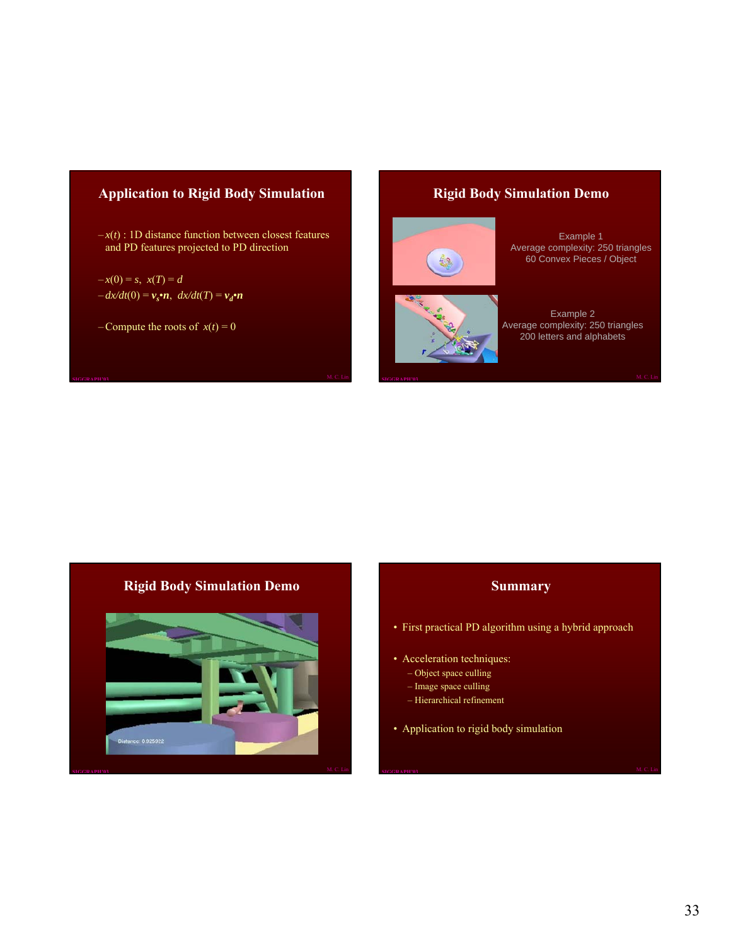# **Application to Rigid Body Simulation**

 $-x(t)$ : 1D distance function between closest features and PD features projected to PD direction

$$
-x(0) = s, \ x(T) = d
$$
  

$$
-dx/dt(0) = v_s \cdot n, \ dx/dt(T) = v_d \cdot n
$$

– Compute the roots of  $x(t) = 0$ 

#### **Rigid Body Simulation Demo**





Example 1 Average complexity: 250 triangles 60 Convex Pieces / Object

Example 2 Average complexity: 250 triangles 200 letters and alphabets

# **Rigid Body Simulation Demo**



#### **Summary**

- First practical PD algorithm using a hybrid approach
- Acceleration techniques:
	- Object space culling
	- Image space culling
	- Hierarchical refinement
- Application to rigid body simulation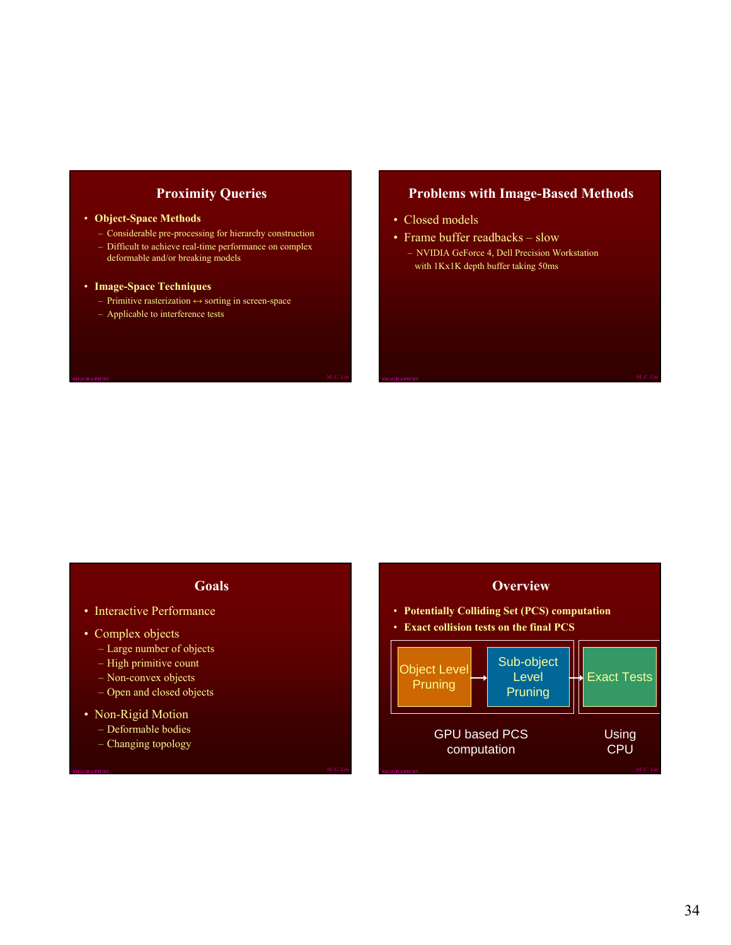#### **Proximity Queries**

#### • **Object-Space Methods**

- Considerable pre-processing for hierarchy construction
- Difficult to achieve real-time performance on complex deformable and/or breaking models

#### • **Image-Space Techniques**

- Primitive rasterization ↔ sorting in screen-space
- Applicable to interference tests

#### **Problems with Image-Based Methods**

- Closed models
- Frame buffer readbacks slow – NVIDIA GeForce 4, Dell Precision Workstation with 1Kx1K depth buffer taking 50ms

# **Goals**

- Interactive Performance
- Complex objects
	- Large number of objects
	- High primitive count
	- Non-convex objects
	- Open and closed objects
- Non-Rigid Motion
	- Deformable bodies
	- Changing topology

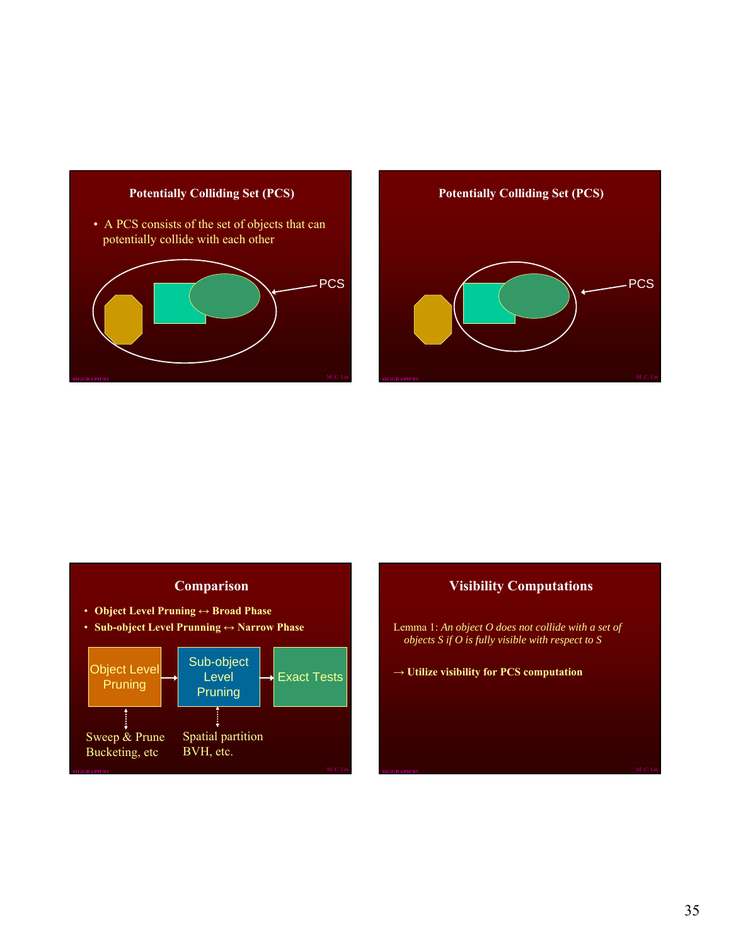

# **Potentially Colliding Set (PCS) PCS**

# **Comparison**

- **Object Level Pruning ↔ Broad Phase**
- **Sub-object Level Prunning ↔ Narrow Phase**



#### **Visibility Computations**

- Lemma 1: *An object O does not collide with a set of objects S if O is fully visible with respect to S*
- **→ Utilize visibility for PCS computation**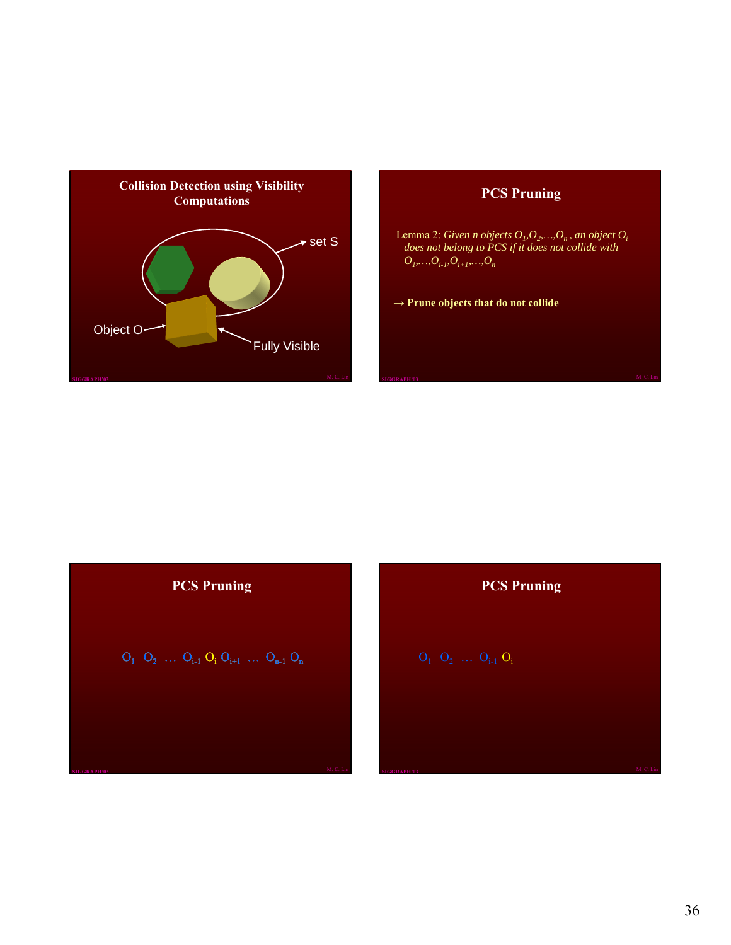

# **PCS Pruning**

Lemma 2: *Given n objects*  $O_1, O_2, \ldots, O_n$ , an object  $O_i$ *does not belong to PCS if it does not collide with*   $O_l, \ldots, O_{i\text{-}l},O_{i+1}, \ldots, O_n$ 

**→ Prune objects that do not collide**

| <b>PCS Pruning</b> |
|--------------------|
|--------------------|

$$
O_1 \ O_2 \ \ldots \ O_{i\text{-}1} \ O_i \ O_{i\text{+}1} \ \ldots \ O_{n\text{-}1} \ O_n
$$

**PCS Pruning**

 $O_1$   $O_2$   $\dots$   $O_{i-1}$   $O_i$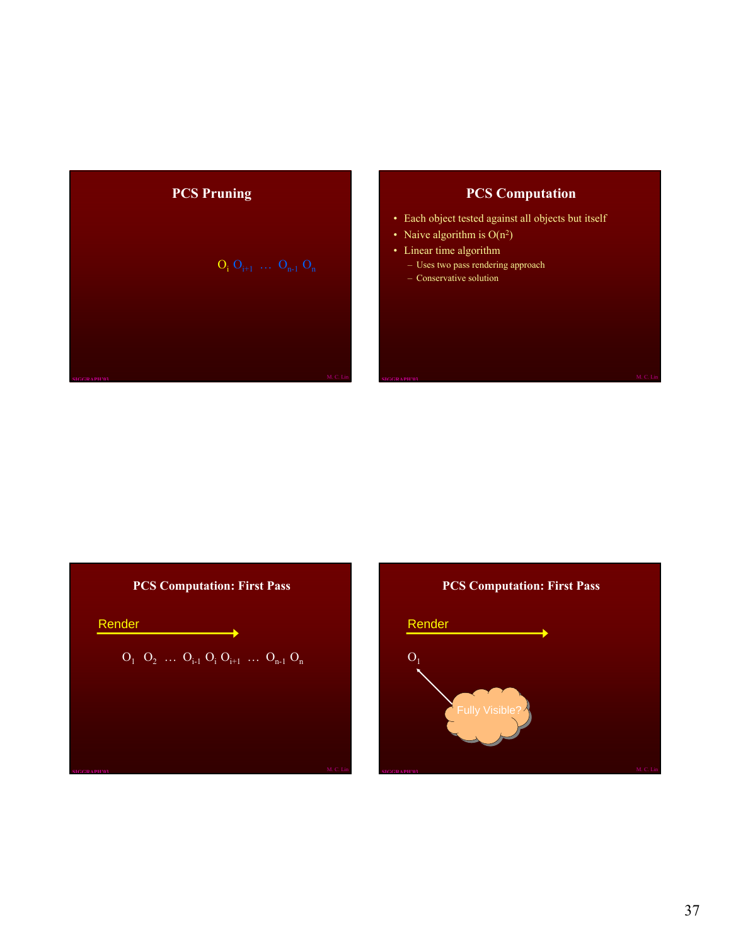

# **PCS Computation**

- Each object tested against all objects but itself
- Naive algorithm is  $O(n^2)$
- Linear time algorithm
	- Uses two pass rendering approach
	- Conservative solution



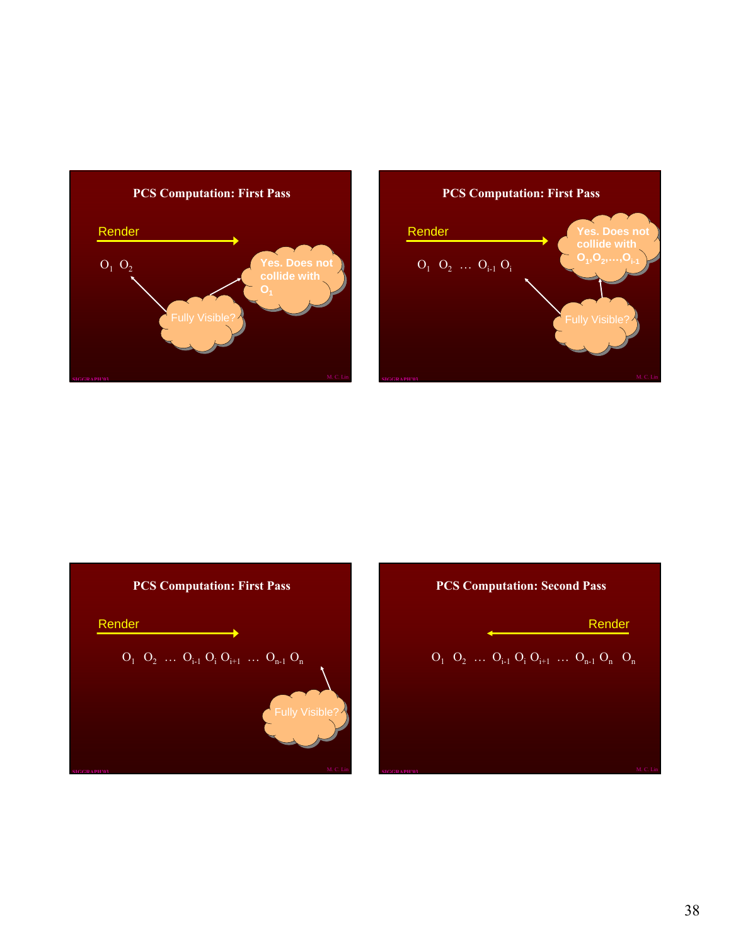





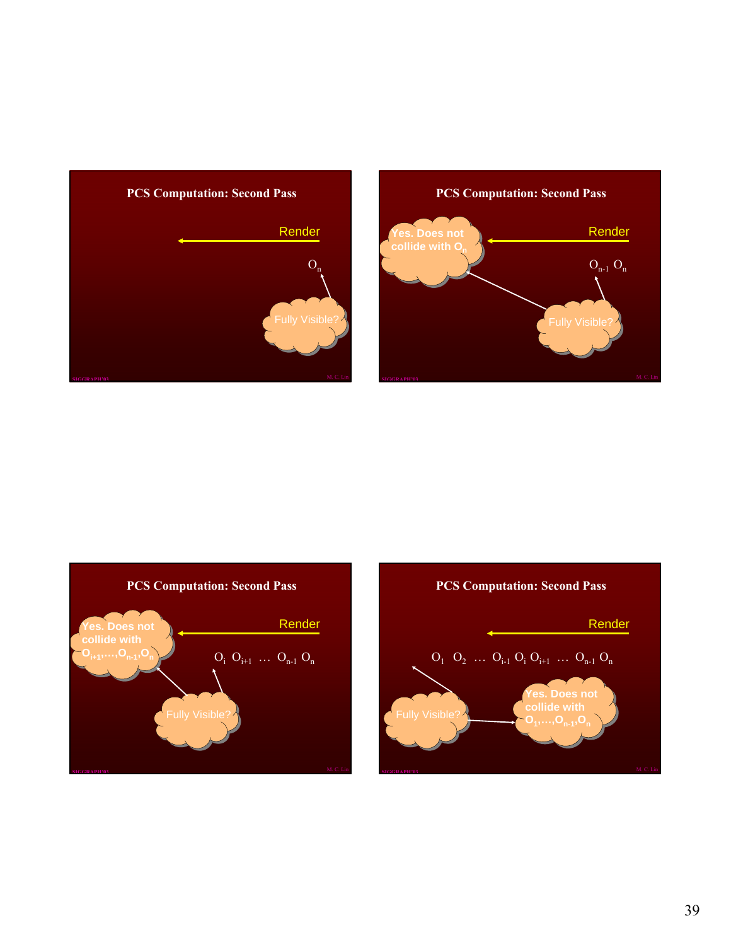





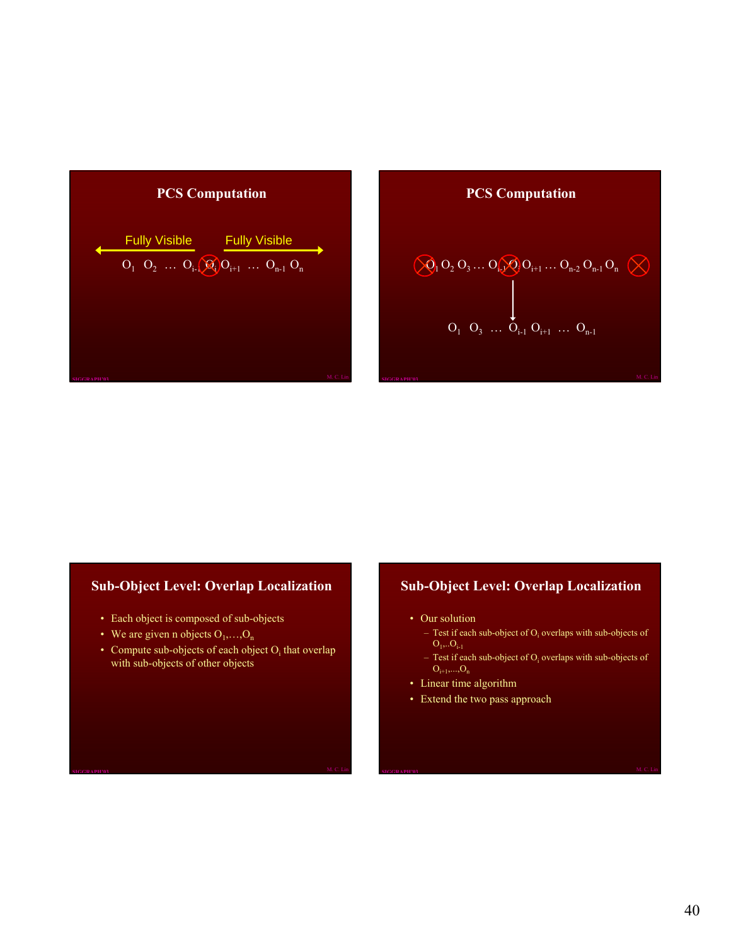

### **PCS Computation**

$$
\begin{array}{ccccccccc} &&&&&&&&\\ &\bigotimes_1 O_2\ O_3\ldots O_{i_2} \bigotimes_1 O_{i+1}\ldots O_{n\cdot 2}\ O_{n\cdot 1}\ O_n &\bigotimes\\ &&&&&&\\ &\bigcup_{{\scriptsize\begin{array}{ccccc}O_1&O_3&\ldots &O_{i\cdot 1}\ O_{i+1}&\ldots &O_{n\cdot 1}\end{array}}}\end{array}
$$

#### **Sub-Object Level: Overlap Localization**

- Each object is composed of sub-objects
- We are given n objects  $O_1, \ldots, O_n$
- Compute sub-objects of each object  $O_i$  that overlap with sub-objects of other objects

#### **Sub-Object Level: Overlap Localization**

- Our solution
	- Test if each sub-object of  $O_i$  overlaps with sub-objects of  $O_1, O_{i-1}$
	- Test if each sub-object of  $O_i$  overlaps with sub-objects of  $O_{i+1},...,O_n$
- Linear time algorithm
- Extend the two pass approach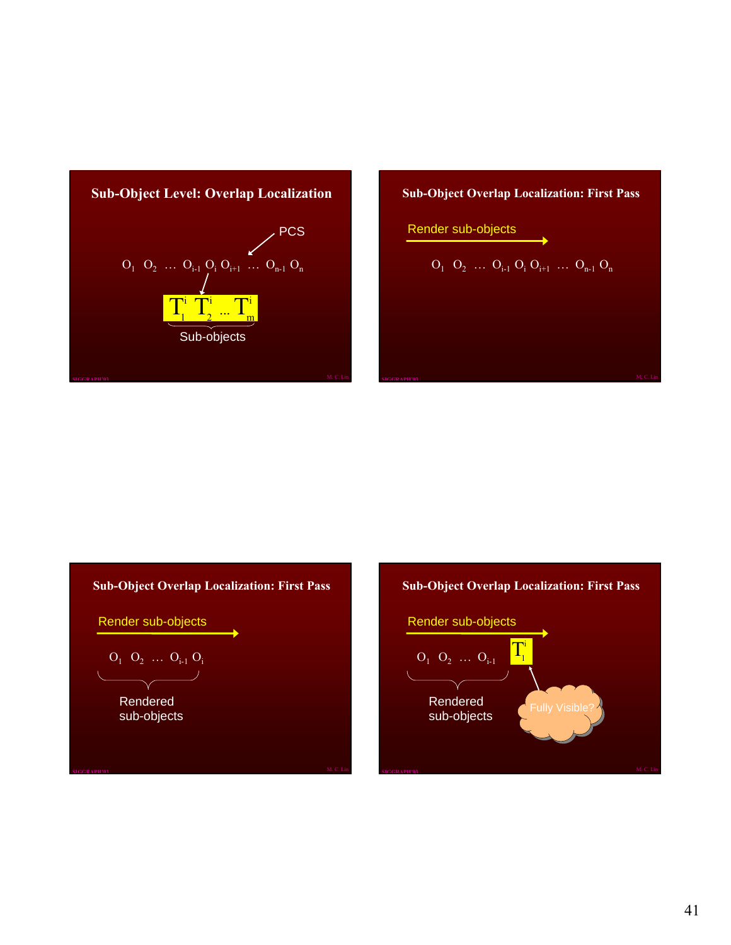

**Sub-Object Overlap Localization: First Pass**

Render sub-objects

$$
O_1\ O_2\ \dots\ O_{i\text{-}1}\ O_i\ O_{i\text{+}1}\ \dots\ O_{n\text{-}1}\ O_n
$$

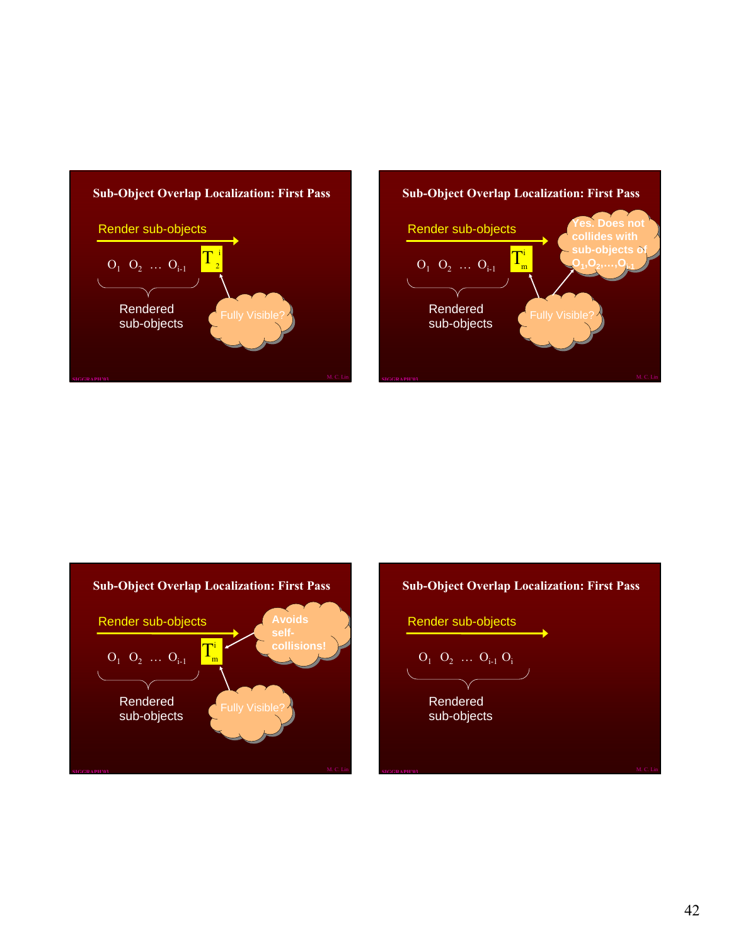





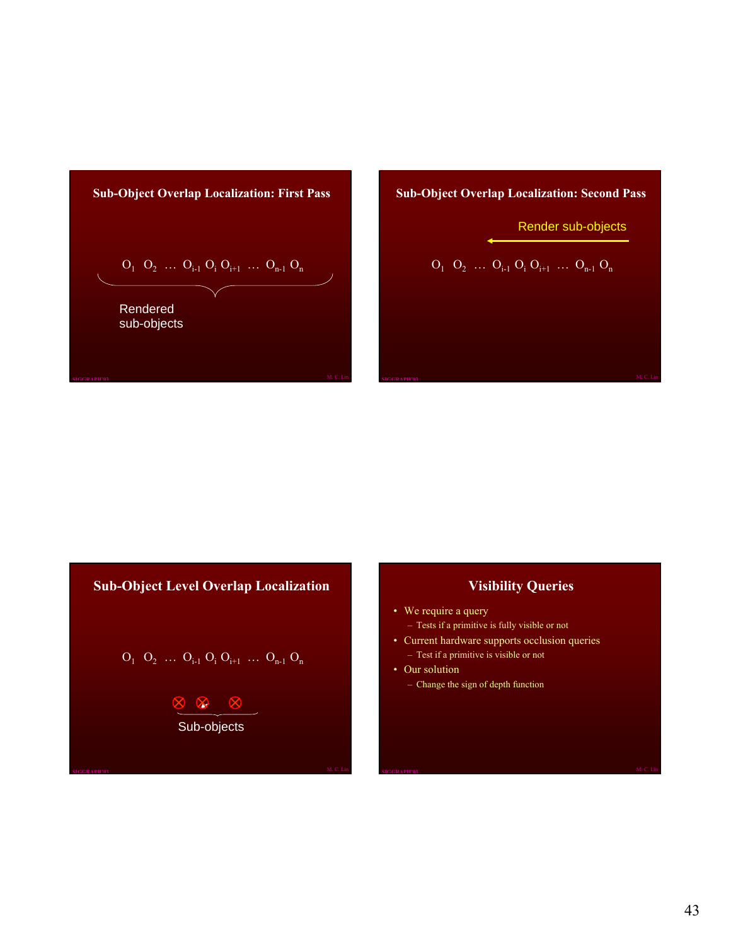

# **Sub-Object Overlap Localization: Second Pass**

Render sub-objects

$$
O_1 O_2 \ldots O_{i\text{-}1} O_i O_{i\text{+}1} \ldots O_{n\text{-}1} O_n
$$

**Sub-Object Level Overlap Localization**

$$
O_1 \ O_2 \ \ldots \ O_{i\text{-}1} \ O_i \ O_{i\text{+}1} \ \ldots \ O_{n\text{-}1} \ O_n
$$

$$
\begin{array}{c}\n\hline\n\otimes \otimes \otimes \\
\hline\n\text{Sub-objects}\n\end{array}
$$

# **Visibility Queries**

- We require a query – Tests if a primitive is fully visible or not
- Current hardware supports occlusion queries – Test if a primitive is visible or not
- Our solution – Change the sign of depth function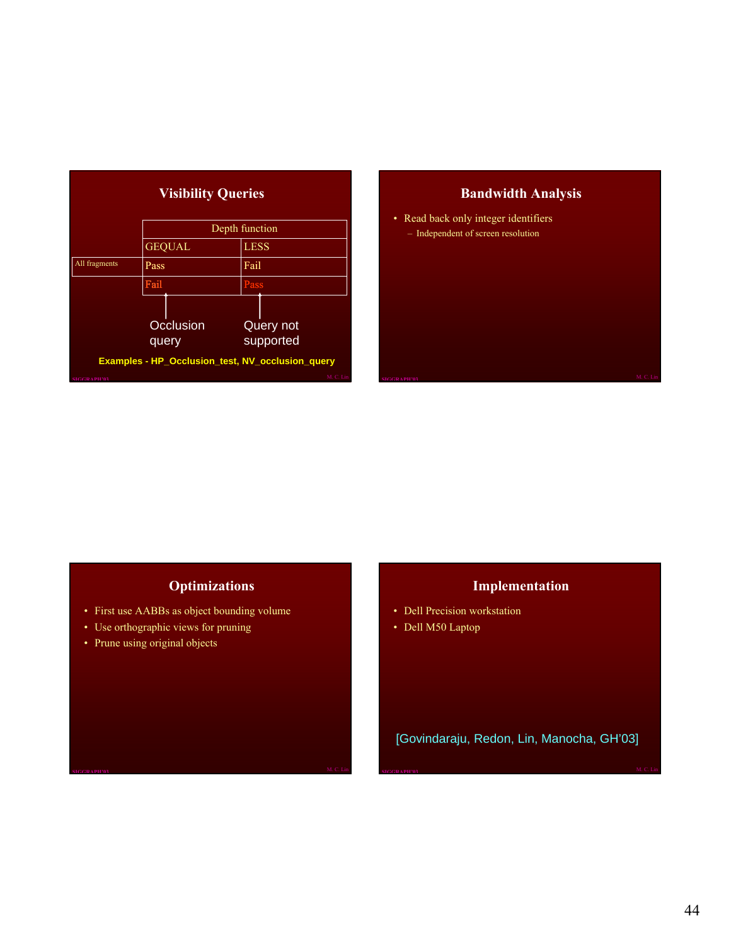|               | <b>Visibility Queries</b> |                                                                  |
|---------------|---------------------------|------------------------------------------------------------------|
|               |                           | Depth function                                                   |
|               | <b>GEQUAL</b>             | <b>LESS</b>                                                      |
| All fragments | Pass                      | Fail                                                             |
|               | Fail                      | Pass                                                             |
|               | Occlusion<br>query        | <b>Query not</b><br>supported                                    |
|               |                           | Examples - HP_Occlusion_test, NV_occlusion_query<br><b>MONTH</b> |

# **Bandwidth Analysis**

• Read back only integer identifiers – Independent of screen resolution

# **Optimizations**

- First use AABBs as object bounding volume
- Use orthographic views for pruning
- Prune using original objects

# **Implementation**

- Dell Precision workstation
- Dell M50 Laptop

[Govindaraju, Redon, Lin, Manocha, GH'03]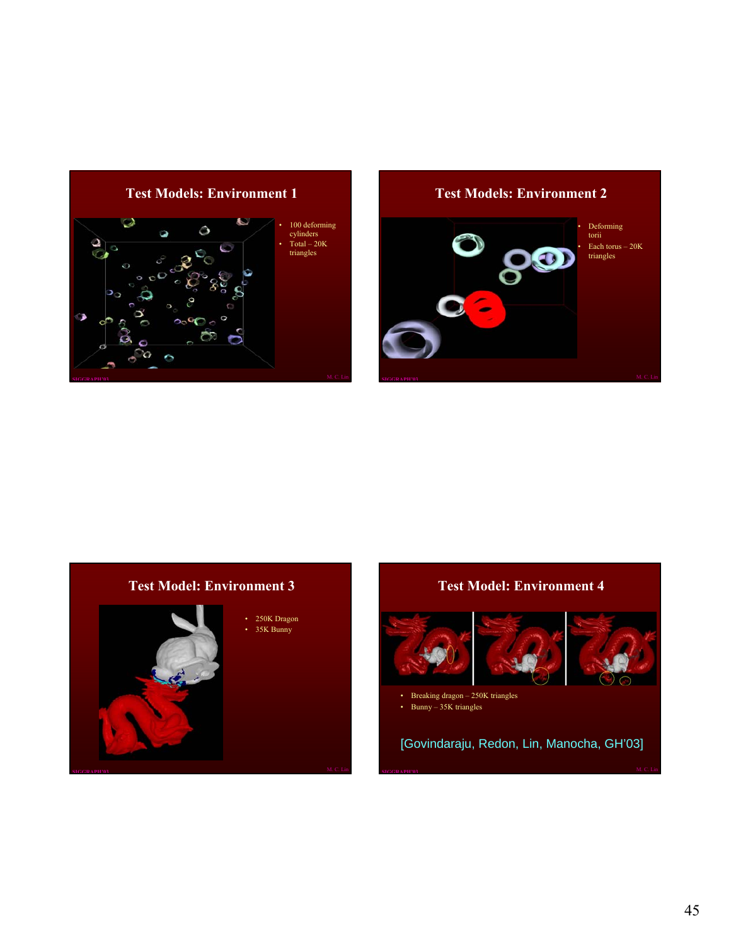

#### **Test Models: Environment 2**



# **Test Model: Environment 3**



- 250K Dragon
- 35K Bunny

# **Test Model: Environment 4**



- Breaking dragon 250K triangles
- Bunny 35K triangles

[Govindaraju, Redon, Lin, Manocha, GH'03]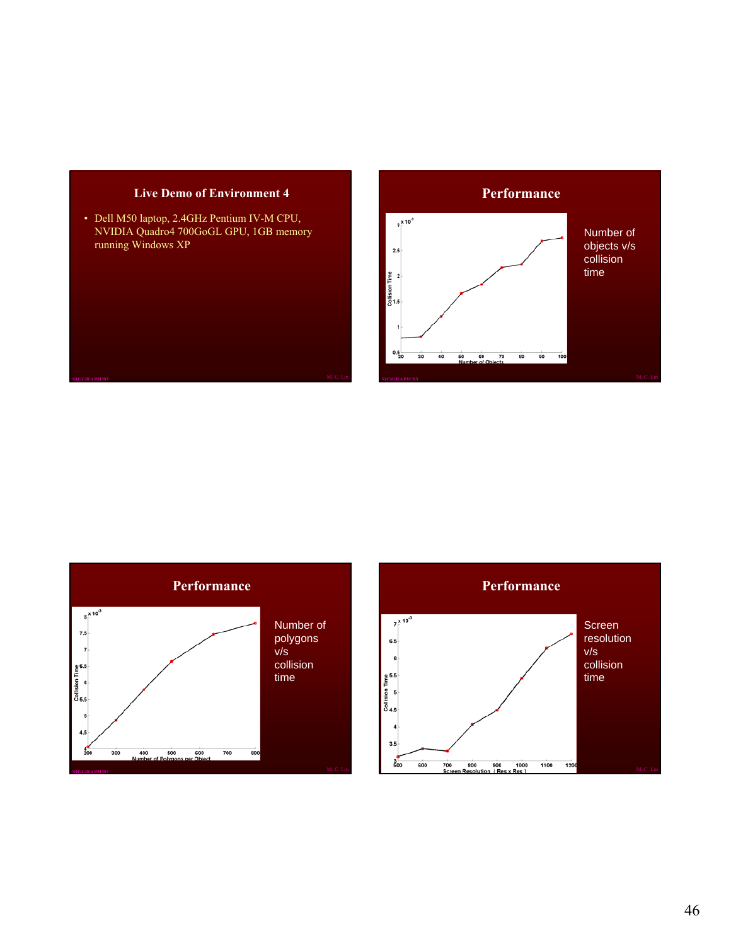#### **Live Demo of Environment 4**

• Dell M50 laptop, 2.4GHz Pentium IV-M CPU, NVIDIA Quadro4 700GoGL GPU, 1GB memory running Windows XP





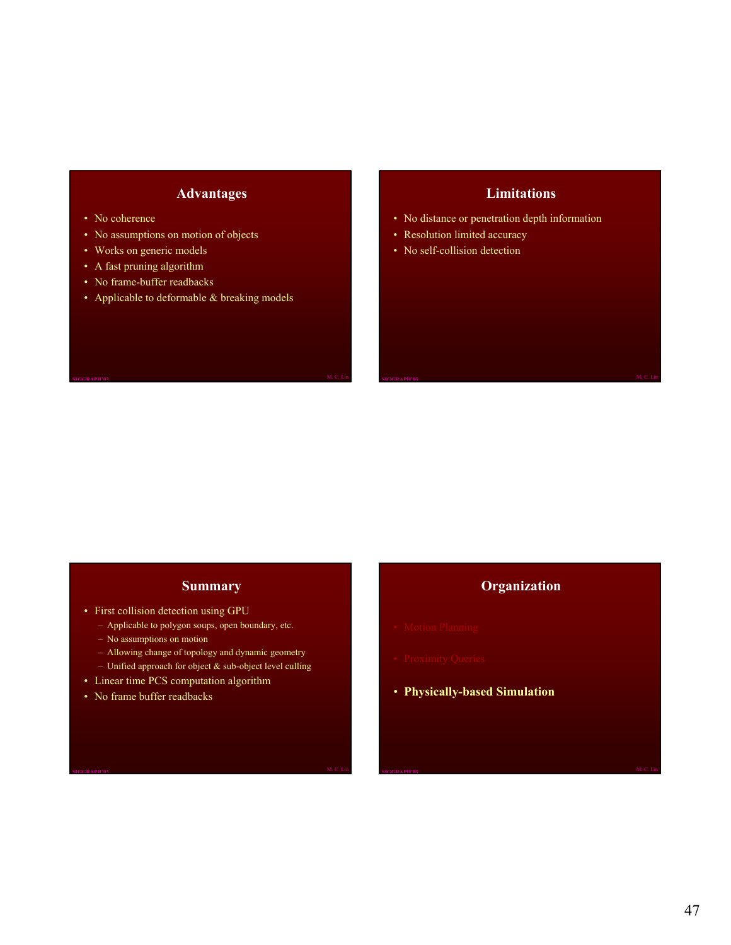#### **Advantages**

- No coherence
- No assumptions on motion of objects
- Works on generic models
- A fast pruning algorithm
- No frame-buffer readbacks
- Applicable to deformable & breaking models

#### **Limitations**

- No distance or penetration depth information
- Resolution limited accuracy
- No self-collision detection

#### **Summary**

- First collision detection using GPU
	- Applicable to polygon soups, open boundary, etc.
	- No assumptions on motion
	- Allowing change of topology and dynamic geometry
- Unified approach for object  $\&$  sub-object level culling
- Linear time PCS computation algorithm
- No frame buffer readbacks

## **Organization**

- 
- 
- **Physically-based Simulation**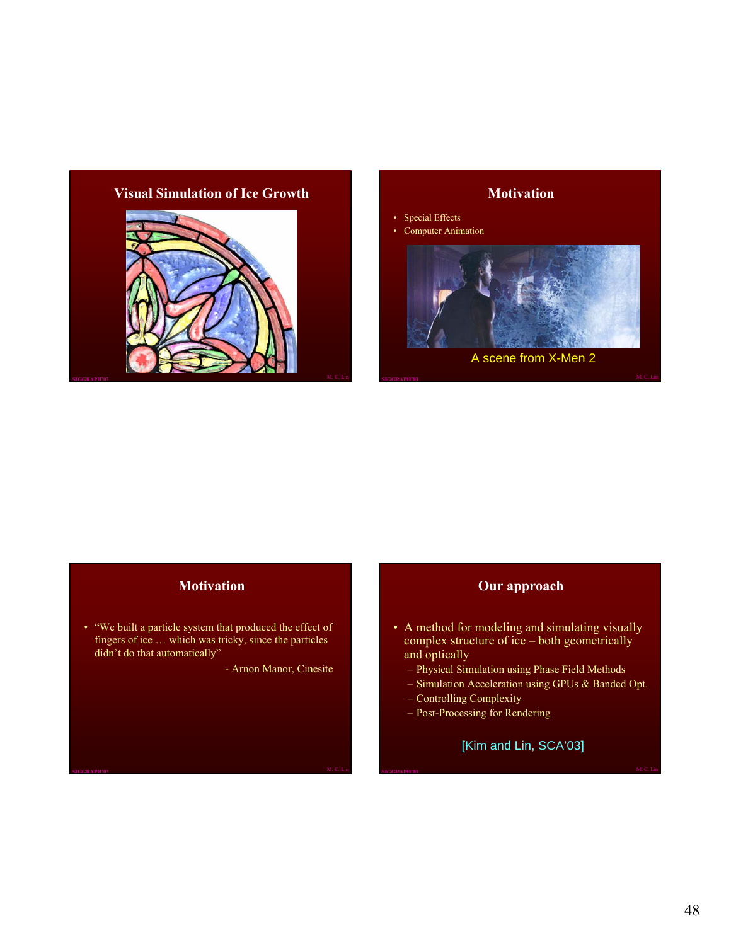#### **Visual Simulation of Ice Growth**





## **Motivation**

• "We built a particle system that produced the effect of fingers of ice … which was tricky, since the particles didn't do that automatically"

- Arnon Manor, Cinesite

#### **Our approach**

- A method for modeling and simulating visually complex structure of ice – both geometrically and optically
	- Physical Simulation using Phase Field Methods
	- Simulation Acceleration using GPUs & Banded Opt.
	- Controlling Complexity
	- Post-Processing for Rendering

[Kim and Lin, SCA'03]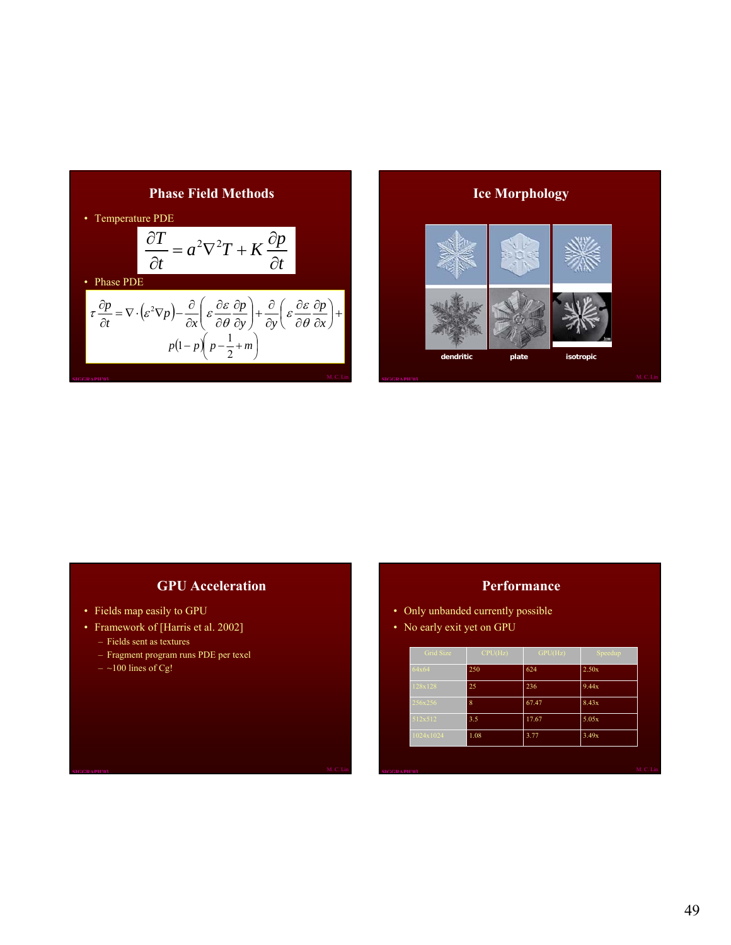



## **GPU Acceleration**

- Fields map easily to GPU
- Framework of [Harris et al. 2002]
	- Fields sent as textures
	- Fragment program runs PDE per texel
	- $-$  ~100 lines of Cg!

#### **Performance**

- Only unbanded currently possible
- No early exit yet on GPU

| Grid Size | CPU(Hz) | GPU(Hz) | Speedup |
|-----------|---------|---------|---------|
| 64x64     | 250     | 624     | 2.50x   |
| 128x128   | 25      | 236     | 9.44x   |
| 256x256   | 8       | 67.47   | 8.43x   |
| 512x512   | 3.5     | 17.67   | 5.05x   |
| 1024x1024 | 1.08    | 3.77    | 3.49x   |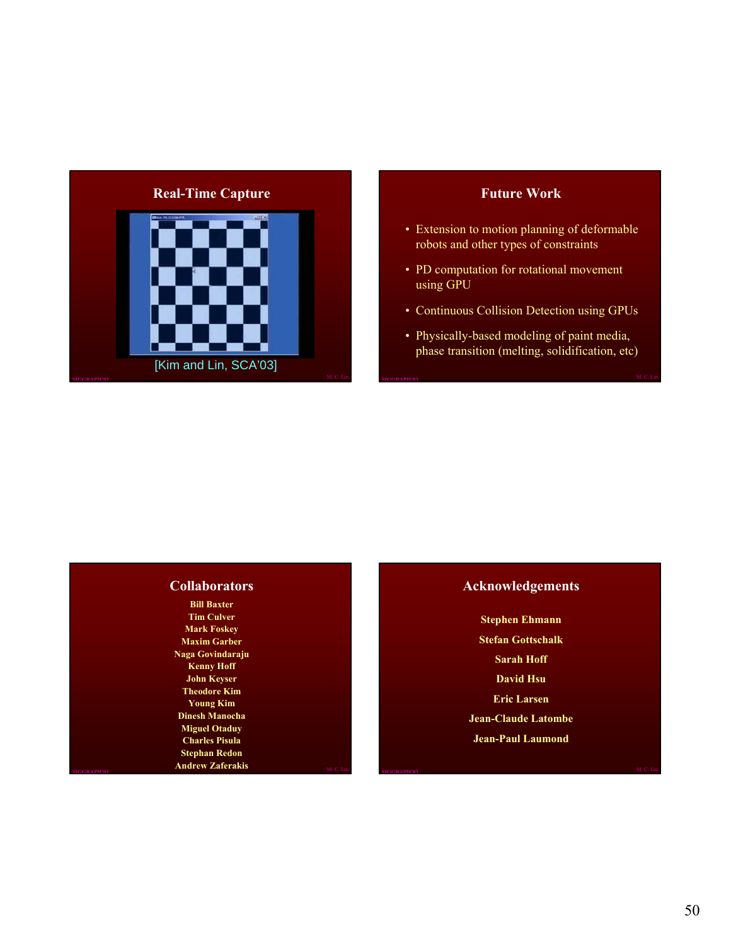

#### **Future Work**

- Extension to motion planning of deformable robots and other types of constraints
- PD computation for rotational movement using GPU
- Continuous Collision Detection using GPUs
- Physically-based modeling of paint media, phase transition (melting, solidification, etc)

#### **Collaborators**

**SIGGRAPH'03** M. C. Lin **Bill Baxter Tim Culver Mark Foskey Maxim Garber Naga Govindaraju Kenny Hoff John Keyser Theodore Kim Young Kim Dinesh Manocha Miguel Otaduy Charles Pisula Stephan Redon Andrew Zaferakis M. C. Lin SIGGRAPH'03 SIGGRAPH'03** M. C. Lin

#### **Acknowledgements**

**Stephen Ehmann Stefan Gottschalk Sarah Hoff David Hsu Eric Larsen Jean-Claude Latombe Jean-Paul Laumond**